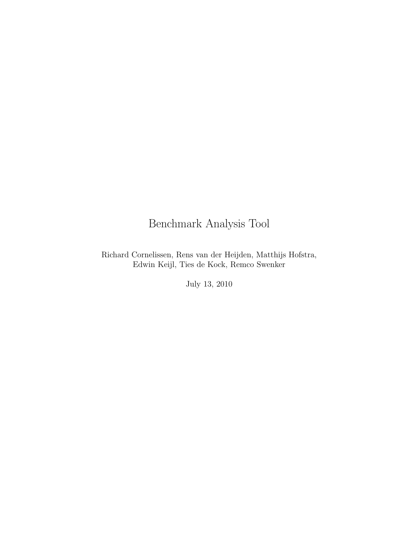# Benchmark Analysis Tool

Richard Cornelissen, Rens van der Heijden, Matthijs Hofstra, Edwin Keijl, Ties de Kock, Remco Swenker

July 13, 2010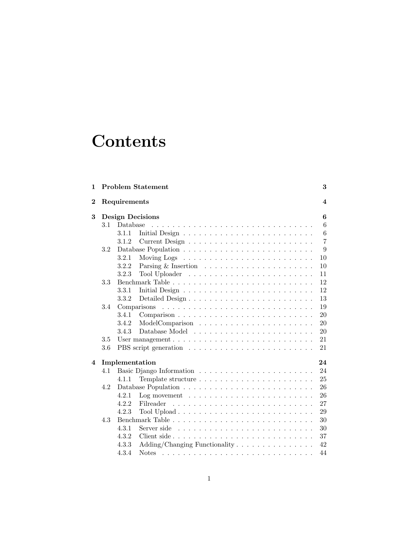# **Contents**

| $\mathbf 1$ |     | <b>Problem Statement</b>                                                              | 3              |  |  |  |  |  |  |  |
|-------------|-----|---------------------------------------------------------------------------------------|----------------|--|--|--|--|--|--|--|
| $\mathbf 2$ |     | $\boldsymbol{4}$<br>Requirements                                                      |                |  |  |  |  |  |  |  |
| 3           |     | <b>Design Decisions</b>                                                               | 6              |  |  |  |  |  |  |  |
|             | 3.1 | Database                                                                              | 6              |  |  |  |  |  |  |  |
|             |     | 3.1.1                                                                                 | 6              |  |  |  |  |  |  |  |
|             |     | 3.1.2                                                                                 | $\overline{7}$ |  |  |  |  |  |  |  |
|             | 3.2 |                                                                                       | 9              |  |  |  |  |  |  |  |
|             |     | 3.2.1                                                                                 | 10             |  |  |  |  |  |  |  |
|             |     | 3.2.2                                                                                 | 10             |  |  |  |  |  |  |  |
|             |     | 3.2.3                                                                                 | 11             |  |  |  |  |  |  |  |
|             | 3.3 |                                                                                       | 12             |  |  |  |  |  |  |  |
|             |     | 3.3.1                                                                                 | 12             |  |  |  |  |  |  |  |
|             |     | 3.3.2                                                                                 | 13             |  |  |  |  |  |  |  |
|             | 3.4 |                                                                                       | 19             |  |  |  |  |  |  |  |
|             |     | 3.4.1                                                                                 | 20             |  |  |  |  |  |  |  |
|             |     | 3.4.2                                                                                 | 20             |  |  |  |  |  |  |  |
|             |     | 3.4.3                                                                                 | 20             |  |  |  |  |  |  |  |
|             | 3.5 |                                                                                       | 21             |  |  |  |  |  |  |  |
|             | 3.6 |                                                                                       | 21             |  |  |  |  |  |  |  |
| 4           |     | Implementation                                                                        | 24             |  |  |  |  |  |  |  |
|             | 4.1 |                                                                                       | 24             |  |  |  |  |  |  |  |
|             |     | 4.1.1                                                                                 | 25             |  |  |  |  |  |  |  |
|             | 4.2 | Database Population $\ldots \ldots \ldots \ldots \ldots \ldots \ldots \ldots \ldots$  | 26             |  |  |  |  |  |  |  |
|             |     | 4.2.1<br>$Log movement \dots \dots \dots \dots \dots \dots \dots \dots \dots \dots$   | 26             |  |  |  |  |  |  |  |
|             |     | 4.2.2<br>Filreader                                                                    | 27             |  |  |  |  |  |  |  |
|             |     | 4.2.3                                                                                 | 29             |  |  |  |  |  |  |  |
|             | 4.3 |                                                                                       | 30             |  |  |  |  |  |  |  |
|             |     | 4.3.1<br>Server side $\ldots \ldots \ldots \ldots \ldots \ldots \ldots \ldots \ldots$ | 30             |  |  |  |  |  |  |  |
|             |     | 4.3.2                                                                                 | 37             |  |  |  |  |  |  |  |
|             |     | Adding/Changing Functionality<br>4.3.3                                                | 42             |  |  |  |  |  |  |  |
|             |     | 4.3.4<br><b>Notes</b>                                                                 | 44             |  |  |  |  |  |  |  |
|             |     |                                                                                       |                |  |  |  |  |  |  |  |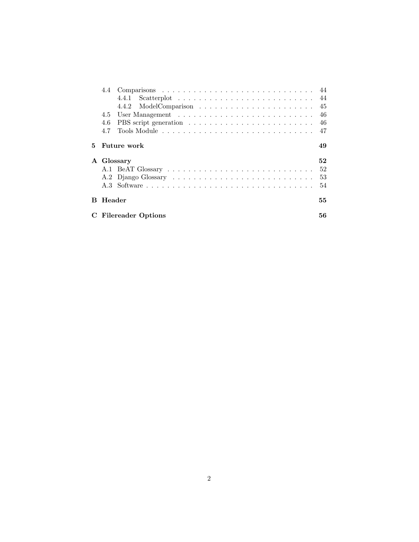|    |        | 4.4.1<br>Scatterplot $\ldots \ldots \ldots \ldots \ldots \ldots \ldots \ldots \ldots$ |    |
|----|--------|---------------------------------------------------------------------------------------|----|
|    |        |                                                                                       |    |
|    | 4.5    |                                                                                       |    |
|    | 4.6    |                                                                                       |    |
|    | 4.7    |                                                                                       |    |
| 5. |        | Future work                                                                           | 49 |
|    |        |                                                                                       |    |
|    |        | A Glossary                                                                            | 52 |
|    |        |                                                                                       | 52 |
|    |        |                                                                                       | 53 |
|    |        |                                                                                       | 54 |
| B. | Header |                                                                                       | 55 |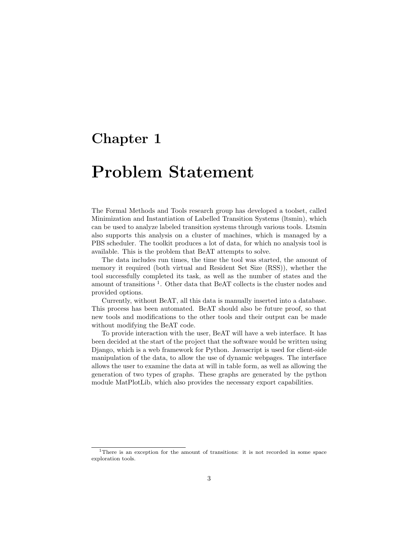# Problem Statement

The Formal Methods and Tools research group has developed a toolset, called Minimization and Instantiation of Labelled Transition Systems (ltsmin), which can be used to analyze labeled transition systems through various tools. Ltsmin also supports this analysis on a cluster of machines, which is managed by a PBS scheduler. The toolkit produces a lot of data, for which no analysis tool is available. This is the problem that BeAT attempts to solve.

The data includes run times, the time the tool was started, the amount of memory it required (both virtual and Resident Set Size (RSS)), whether the tool successfully completed its task, as well as the number of states and the amount of transitions<sup>1</sup>. Other data that BeAT collects is the cluster nodes and provided options.

Currently, without BeAT, all this data is manually inserted into a database. This process has been automated. BeAT should also be future proof, so that new tools and modifications to the other tools and their output can be made without modifying the BeAT code.

To provide interaction with the user, BeAT will have a web interface. It has been decided at the start of the project that the software would be written using Django, which is a web framework for Python. Javascript is used for client-side manipulation of the data, to allow the use of dynamic webpages. The interface allows the user to examine the data at will in table form, as well as allowing the generation of two types of graphs. These graphs are generated by the python module MatPlotLib, which also provides the necessary export capabilities.

<sup>&</sup>lt;sup>1</sup>There is an exception for the amount of transitions: it is not recorded in some space exploration tools.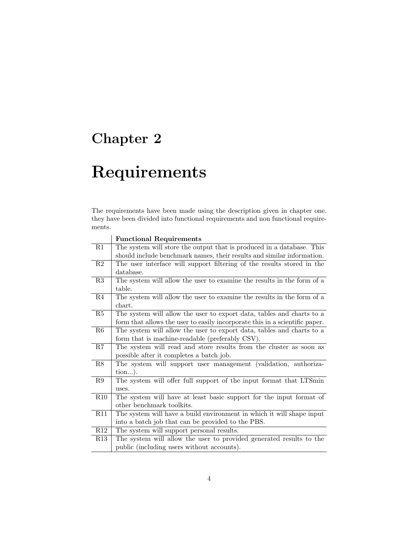# Requirements

The requirements have been made using the description given in chapter one. they have been divided into functional requirements and non functional requirements.

|                | <b>Functional Requirements</b>                                              |
|----------------|-----------------------------------------------------------------------------|
| R1             | The system will store the output that is produced in a database. This       |
|                | should include benchmark names, their results and similar information.      |
| R <sub>2</sub> | The user interface will support filtering of the results stored in the      |
|                | database.                                                                   |
| R3             | The system will allow the user to examine the results in the form of a      |
|                | table.                                                                      |
| R4             | The system will allow the user to examine the results in the form of a      |
|                | chart.                                                                      |
| R5             | The system will allow the user to export data, tables and charts to a       |
|                | form that allows the user to easily incorporate this in a scientific paper. |
| R6             | The system will allow the user to export data, tables and charts to a       |
|                | form that is machine-readable (preferably CSV).                             |
| R7             | The system will read and store results from the cluster as soon as          |
|                | possible after it completes a batch job.                                    |
| R8             | The system will support user management (validation, authoriza-             |
|                | tion).                                                                      |
| R9             | The system will offer full support of the input format that LTSmin          |
|                | uses.                                                                       |
| R10            | The system will have at least basic support for the input format of         |
|                | other benchmark toolkits.                                                   |
| R11            | The system will have a build environment in which it will shape input       |
|                | into a batch job that can be provided to the PBS.                           |
| R12            | The system will support personal results.                                   |
| R13            | The system will allow the user to provided generated results to the         |
|                | public (including users without accounts).                                  |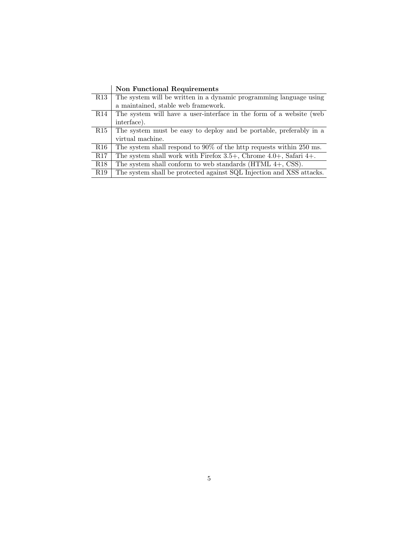|                 | <b>Non Functional Requirements</b>                                        |
|-----------------|---------------------------------------------------------------------------|
| R13             | The system will be written in a dynamic programming language using        |
|                 | a maintained, stable web framework.                                       |
| R14             | The system will have a user-interface in the form of a website (web       |
|                 | interface).                                                               |
| R15             | The system must be easy to deploy and be portable, preferably in a        |
|                 | virtual machine.                                                          |
| R16             | The system shall respond to $90\%$ of the http requests within 250 ms.    |
| R17             | The system shall work with Firefox $3.5+$ , Chrome $4.0+$ , Safari $4+$ . |
| R <sub>18</sub> | The system shall conform to web standards $(HTML 4+, CSS)$ .              |
| R <sub>19</sub> | The system shall be protected against SQL Injection and XSS attacks.      |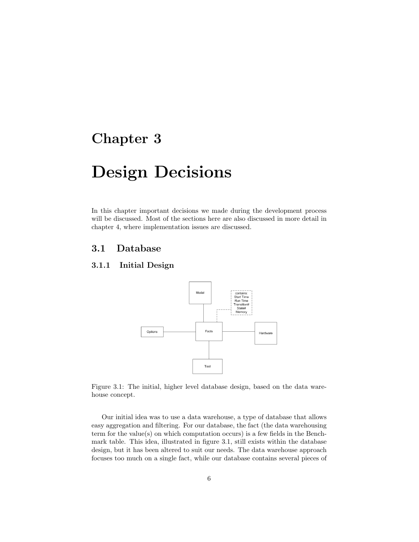# Design Decisions

In this chapter important decisions we made during the development process will be discussed. Most of the sections here are also discussed in more detail in chapter 4, where implementation issues are discussed.

### 3.1 Database

### 3.1.1 Initial Design



Figure 3.1: The initial, higher level database design, based on the data warehouse concept.

Our initial idea was to use a data warehouse, a type of database that allows easy aggregation and filtering. For our database, the fact (the data warehousing term for the value(s) on which computation occurs) is a few fields in the Benchmark table. This idea, illustrated in figure 3.1, still exists within the database design, but it has been altered to suit our needs. The data warehouse approach focuses too much on a single fact, while our database contains several pieces of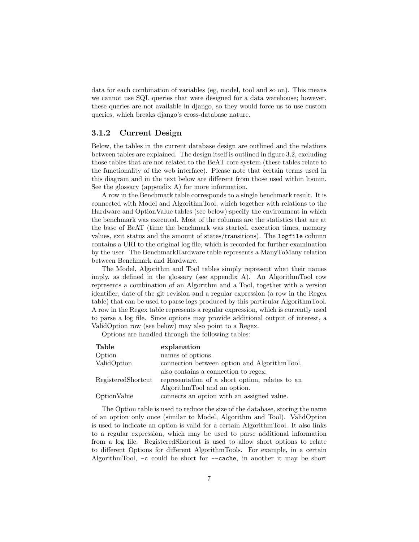data for each combination of variables (eg, model, tool and so on). This means we cannot use SQL queries that were designed for a data warehouse; however, these queries are not available in django, so they would force us to use custom queries, which breaks django's cross-database nature.

#### 3.1.2 Current Design

Below, the tables in the current database design are outlined and the relations between tables are explained. The design itself is outlined in figure 3.2, excluding those tables that are not related to the BeAT core system (these tables relate to the functionality of the web interface). Please note that certain terms used in this diagram and in the text below are different from those used within ltsmin. See the glossary (appendix A) for more information.

A row in the Benchmark table corresponds to a single benchmark result. It is connected with Model and AlgorithmTool, which together with relations to the Hardware and OptionValue tables (see below) specify the environment in which the benchmark was executed. Most of the columns are the statistics that are at the base of BeAT (time the benchmark was started, execution times, memory values, exit status and the amount of states/transitions). The logfile column contains a URI to the original log file, which is recorded for further examination by the user. The BenchmarkHardware table represents a ManyToMany relation between Benchmark and Hardware.

The Model, Algorithm and Tool tables simply represent what their names imply, as defined in the glossary (see appendix A). An AlgorithmTool row represents a combination of an Algorithm and a Tool, together with a version identifier, date of the git revision and a regular expression (a row in the Regex table) that can be used to parse logs produced by this particular AlgorithmTool. A row in the Regex table represents a regular expression, which is currently used to parse a log file. Since options may provide additional output of interest, a ValidOption row (see below) may also point to a Regex.

Options are handled through the following tables:

| Table              | explanation                                     |
|--------------------|-------------------------------------------------|
| Option             | names of options.                               |
| ValidOption        | connection between option and AlgorithmTool,    |
|                    | also contains a connection to regex.            |
| RegisteredShortcut | representation of a short option, relates to an |
|                    | Algorithm Tool and an option.                   |
| OptionValue        | connects an option with an assigned value.      |

The Option table is used to reduce the size of the database, storing the name of an option only once (similar to Model, Algorithm and Tool). ValidOption is used to indicate an option is valid for a certain AlgorithmTool. It also links to a regular expression, which may be used to parse additional information from a log file. RegisteredShortcut is used to allow short options to relate to different Options for different AlgorithmTools. For example, in a certain AlgorithmTool, -c could be short for --cache, in another it may be short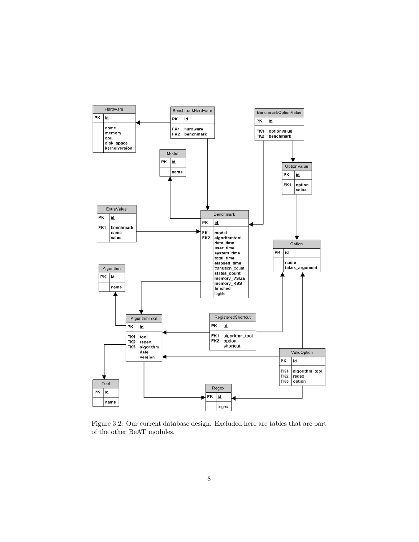

Figure 3.2: Our current database design. Excluded here are tables that are part of the other BeAT modules.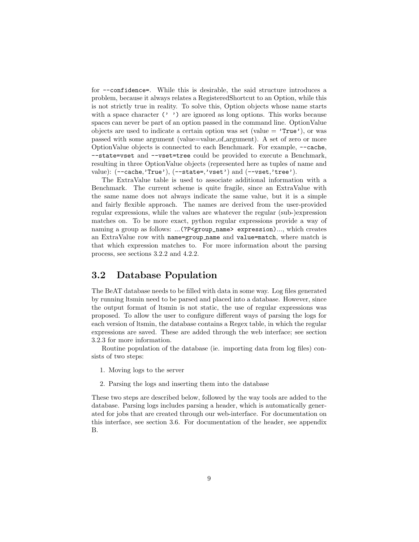for --confidence=. While this is desirable, the said structure introduces a problem, because it always relates a RegisteredShortcut to an Option, while this is not strictly true in reality. To solve this, Option objects whose name starts with a space character  $(2, 2)$  are ignored as long options. This works because spaces can never be part of an option passed in the command line. OptionValue objects are used to indicate a certain option was set (value  $=$  'True'), or was passed with some argument (value=value of argument). A set of zero or more OptionValue objects is connected to each Benchmark. For example, --cache, --state=vset and --vset=tree could be provided to execute a Benchmark, resulting in three OptionValue objects (represented here as tuples of name and value):  $(- - \text{cache}, \text{'True'}), (- - \text{state} - \text{'vset'})$  and  $(- - \text{vset}, \text{'tree'})$ .

The ExtraValue table is used to associate additional information with a Benchmark. The current scheme is quite fragile, since an ExtraValue with the same name does not always indicate the same value, but it is a simple and fairly flexible approach. The names are derived from the user-provided regular expressions, while the values are whatever the regular (sub-)expression matches on. To be more exact, python regular expressions provide a way of naming a group as follows: ...(?P<group\_name> expression)..., which creates an ExtraValue row with name=group name and value=match, where match is that which expression matches to. For more information about the parsing process, see sections 3.2.2 and 4.2.2.

### 3.2 Database Population

The BeAT database needs to be filled with data in some way. Log files generated by running ltsmin need to be parsed and placed into a database. However, since the output format of ltsmin is not static, the use of regular expressions was proposed. To allow the user to configure different ways of parsing the logs for each version of ltsmin, the database contains a Regex table, in which the regular expressions are saved. These are added through the web interface; see section 3.2.3 for more information.

Routine population of the database (ie. importing data from log files) consists of two steps:

- 1. Moving logs to the server
- 2. Parsing the logs and inserting them into the database

These two steps are described below, followed by the way tools are added to the database. Parsing logs includes parsing a header, which is automatically generated for jobs that are created through our web-interface. For documentation on this interface, see section 3.6. For documentation of the header, see appendix B.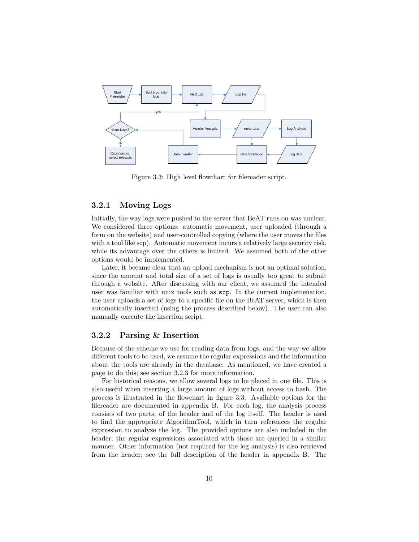

Figure 3.3: High level flowchart for filereader script.

#### 3.2.1 Moving Logs

Initially, the way logs were pushed to the server that BeAT runs on was unclear. We considered three options: automatic movement, user uploaded (through a form on the website) and user-controlled copying (where the user moves the files with a tool like scp). Automatic movement incurs a relatively large security risk, while its advantage over the others is limited. We assumed both of the other options would be implemented.

Later, it became clear that an upload mechanism is not an optimal solution, since the amount and total size of a set of logs is usually too great to submit through a website. After discussing with our client, we assumed the intended user was familiar with unix tools such as scp. In the current implemenation, the user uploads a set of logs to a specific file on the BeAT server, which is then automatically inserted (using the process described below). The user can also manually execute the insertion script.

#### 3.2.2 Parsing & Insertion

Because of the scheme we use for reading data from logs, and the way we allow different tools to be used, we assume the regular expressions and the information about the tools are already in the database. As mentioned, we have created a page to do this; see section 3.2.3 for more information.

For historical reasons, we allow several logs to be placed in one file. This is also useful when inserting a large amount of logs without access to bash. The process is illustrated in the flowchart in figure 3.3. Available options for the filereader are documented in appendix B. For each log, the analysis process consists of two parts; of the header and of the log itself. The header is used to find the appropriate AlgorithmTool, which in turn references the regular expression to analyze the log. The provided options are also included in the header; the regular expressions associated with those are queried in a similar manner. Other information (not required for the log analysis) is also retrieved from the header; see the full description of the header in appendix B. The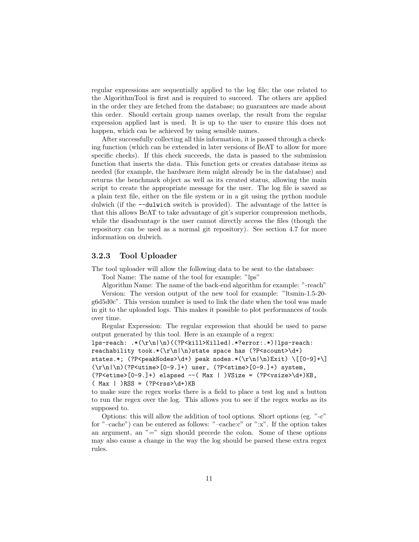regular expressions are sequentially applied to the log file; the one related to the AlgorithmTool is first and is required to succeed. The others are applied in the order they are fetched from the database; no guarantees are made about this order. Should certain group names overlap, the result from the regular expression applied last is used. It is up to the user to ensure this does not happen, which can be achieved by using sensible names.

After successfully collecting all this information, it is passed through a checking function (which can be extended in later versions of BeAT to allow for more specific checks). If this check succeeds, the data is passed to the submission function that inserts the data. This function gets or creates database items as needed (for example, the hardware item might already be in the database) and returns the benchmark object as well as its created status, allowing the main script to create the appropriate message for the user. The log file is saved as a plain text file, either on the file system or in a git using the python module dulwich (if the --dulwich switch is provided). The advantage of the latter is that this allows BeAT to take advantage of git's superior compression methods, while the disadvantage is the user cannot directly access the files (though the repository can be used as a normal git repository). See section 4.7 for more information on dulwich.

#### 3.2.3 Tool Uploader

The tool uploader will allow the following data to be sent to the database:

Tool Name: The name of the tool for example: "lps"

Algorithm Name: The name of the back-end algorithm for example: "-reach"

Version: The version output of the new tool for example: "ltsmin-1.5-20 g6d5d0c". This version number is used to link the date when the tool was made in git to the uploaded logs. This makes it possible to plot performances of tools over time.

Regular Expression: The regular expression that should be used to parse output generated by this tool. Here is an example of a regex:

```
lps-reach: .*(\r\n|\n)((?P<kill>Killed|.*?error:.*)|lps-reach:
reachability took.*(\r\nu)\state space has (?P<scount>\d+)
states.*; (?P \leq R \leq x) \leq x * (\r \leq x * (\r \leq x) \{[0-9]+1\}(\r\ln|\n)(?P<utime>[0-9.]+) user, (?P<stime>[0-9.]+) system,
(?P<etime>[0-9.]+) elapsed --( Max | )VSize = (?P<vsize>\d+)KB,
(Max \mid)RSS = (?P<rss>\d+)KB
```
to make sure the regex works there is a field to place a test log and a button to run the regex over the log. This allows you to see if the regex works as its supposed to.

Options: this will allow the addition of tool options. Short options (eg. "-c" for "–cache") can be entered as follows: "–cache:c" or ":x". If the option takes an argument, an  $"=""$  sign should precede the colon. Some of these options may also cause a change in the way the log should be parsed these extra regex rules.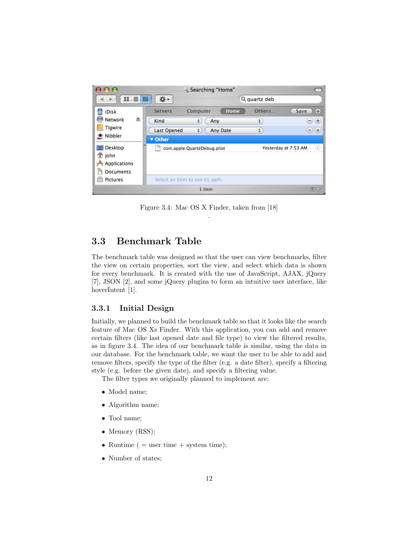

Figure 3.4: Mac OS X Finder, taken from [18] .

## 3.3 Benchmark Table

The benchmark table was designed so that the user can view benchmarks, filter the view on certain properties, sort the view, and select which data is shown for every benchmark. It is created with the use of JavaScript, AJAX, jQuery [7], JSON [2], and some jQuery plugins to form an intuitive user interface, like hoverIntent [1].

#### 3.3.1 Initial Design

Initially, we planned to build the benchmark table so that it looks like the search feature of Mac OS Xs Finder. With this application, you can add and remove certain filters (like last opened date and file type) to view the filtered results, as in figure 3.4. The idea of our benchmark table is similar, using the data in our database. For the benchmark table, we want the user to be able to add and remove filters, specify the type of the filter (e.g. a date filter), specify a filtering style (e.g. before the given date), and specify a filtering value.

The filter types we originally planned to implement are:

- Model name;
- Algorithm name;
- Tool name;
- Memory (RSS);
- Runtime ( $=$  user time  $+$  system time);
- Number of states;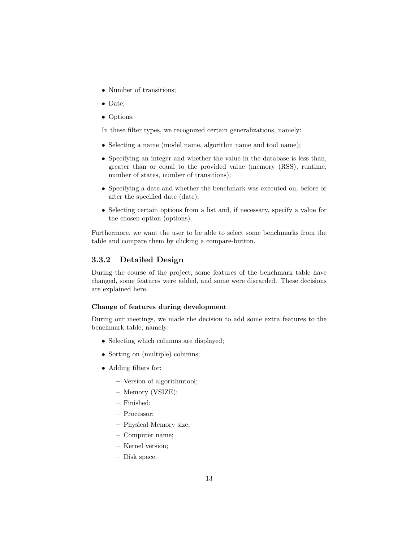- Number of transitions;
- Date;
- Options.

In these filter types, we recognized certain generalizations, namely:

- Selecting a name (model name, algorithm name and tool name);
- Specifying an integer and whether the value in the database is less than, greater than or equal to the provided value (memory (RSS), runtime, number of states, number of transitions);
- Specifying a date and whether the benchmark was executed on, before or after the specified date (date);
- Selecting certain options from a list and, if necessary, specify a value for the chosen option (options).

Furthermore, we want the user to be able to select some benchmarks from the table and compare them by clicking a compare-button.

### 3.3.2 Detailed Design

During the course of the project, some features of the benchmark table have changed, some features were added, and some were discarded. These decisions are explained here.

#### Change of features during development

During our meetings, we made the decision to add some extra features to the benchmark table, namely:

- Selecting which columns are displayed;
- Sorting on (multiple) columns;
- Adding filters for:
	- Version of algorithmtool;
	- Memory (VSIZE);
	- Finished;
	- Processor;
	- Physical Memory size;
	- Computer name;
	- Kernel version;
	- Disk space.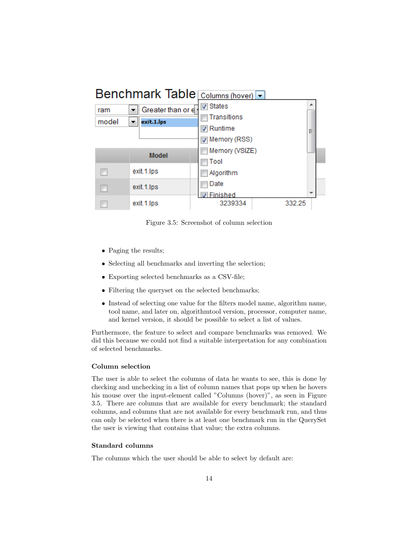

Figure 3.5: Screenshot of column selection

- Paging the results;
- Selecting all benchmarks and inverting the selection;
- Exporting selected benchmarks as a CSV-file;
- Filtering the queryset on the selected benchmarks;
- Instead of selecting one value for the filters model name, algorithm name, tool name, and later on, algorithmtool version, processor, computer name, and kernel version, it should be possible to select a list of values.

Furthermore, the feature to select and compare benchmarks was removed. We did this because we could not find a suitable interpretation for any combination of selected benchmarks.

#### Column selection

The user is able to select the columns of data he wants to see, this is done by checking and unchecking in a list of column names that pops up when he hovers his mouse over the input-element called "Columns (hover)", as seen in Figure 3.5. There are columns that are available for every benchmark; the standard columns, and columns that are not available for every benchmark run, and thus can only be selected when there is at least one benchmark run in the QuerySet the user is viewing that contains that value; the extra columns.

#### Standard columns

The columns which the user should be able to select by default are: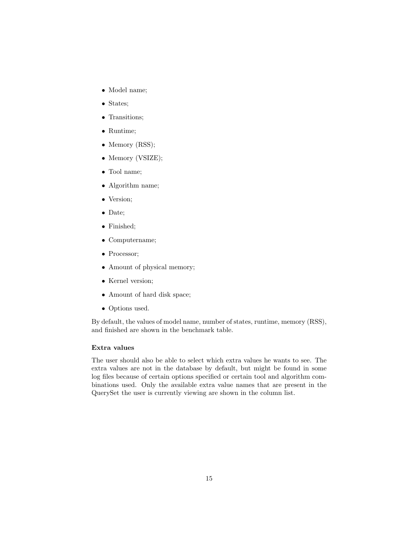- Model name;
- States;
- Transitions;
- Runtime;
- Memory (RSS);
- Memory (VSIZE);
- Tool name;
- Algorithm name;
- Version;
- Date;
- Finished;
- Computername;
- Processor:
- Amount of physical memory;
- Kernel version;
- Amount of hard disk space;
- Options used.

By default, the values of model name, number of states, runtime, memory (RSS), and finished are shown in the benchmark table.

#### Extra values

The user should also be able to select which extra values he wants to see. The extra values are not in the database by default, but might be found in some log files because of certain options specified or certain tool and algorithm combinations used. Only the available extra value names that are present in the QuerySet the user is currently viewing are shown in the column list.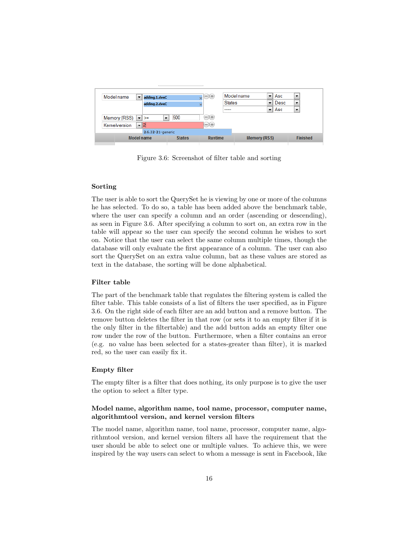| Model name                  | adding.1.dveC     |               | $\bullet$ $\Theta$      | Model name    | $\overline{\phantom{a}}$ | Asc         | $\overline{\phantom{a}}$ |
|-----------------------------|-------------------|---------------|-------------------------|---------------|--------------------------|-------------|--------------------------|
|                             | adding.2.dveC     |               | $\overline{\mathbf{x}}$ | <b>States</b> | $\overline{\phantom{a}}$ | <b>Desc</b> | $\overline{\phantom{0}}$ |
|                             |                   |               |                         | -----         | ▼                        | Asc         | $\overline{\phantom{a}}$ |
| Memory (RSS) $\ \cdot\ $ >= |                   | 500           | $-)(+)$                 |               |                          |             |                          |
| Kernelversion               | $-2$              |               | $-)(+)$                 |               |                          |             |                          |
|                             | 2.6.32-21-generic |               |                         |               |                          |             |                          |
|                             | <b>Model name</b> | <b>States</b> | <b>Runtime</b>          |               | <b>Memory (RSS)</b>      |             | <b>Finished</b>          |

Figure 3.6: Screenshot of filter table and sorting

#### Sorting

The user is able to sort the QuerySet he is viewing by one or more of the columns he has selected. To do so, a table has been added above the benchmark table, where the user can specify a column and an order (ascending or descending), as seen in Figure 3.6. After specifying a column to sort on, an extra row in the table will appear so the user can specify the second column he wishes to sort on. Notice that the user can select the same column multiple times, though the database will only evaluate the first appearance of a column. The user can also sort the QuerySet on an extra value column, bat as these values are stored as text in the database, the sorting will be done alphabetical.

#### Filter table

The part of the benchmark table that regulates the filtering system is called the filter table. This table consists of a list of filters the user specified, as in Figure 3.6. On the right side of each filter are an add button and a remove button. The remove button deletes the filter in that row (or sets it to an empty filter if it is the only filter in the filtertable) and the add button adds an empty filter one row under the row of the button. Furthermore, when a filter contains an error (e.g. no value has been selected for a states-greater than filter), it is marked red, so the user can easily fix it.

#### Empty filter

The empty filter is a filter that does nothing, its only purpose is to give the user the option to select a filter type.

#### Model name, algorithm name, tool name, processor, computer name, algorithmtool version, and kernel version filters

The model name, algorithm name, tool name, processor, computer name, algorithmtool version, and kernel version filters all have the requirement that the user should be able to select one or multiple values. To achieve this, we were inspired by the way users can select to whom a message is sent in Facebook, like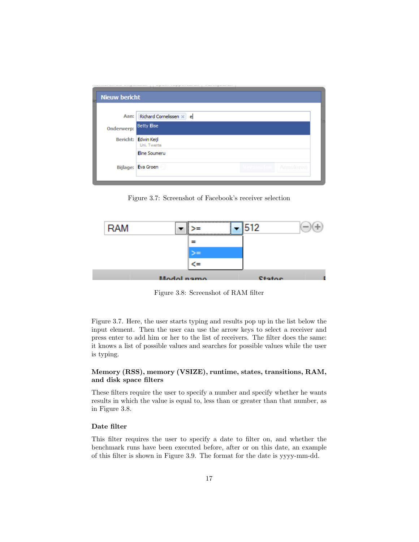| <b>Nieuw bericht</b> |                                     |  |  |
|----------------------|-------------------------------------|--|--|
|                      |                                     |  |  |
| Aan:                 | Richard Cornelissen $\times$ e      |  |  |
| <b>Onderwerp:</b>    | <b>Betty Elise</b>                  |  |  |
|                      | Bericht: Edwin Keijl<br>Uni. Twente |  |  |
|                      | <b>Eline Soumeru</b>                |  |  |
|                      | <b>Bijlage: Eva Groen</b>           |  |  |
|                      |                                     |  |  |

Figure 3.7: Screenshot of Facebook's receiver selection



Figure 3.8: Screenshot of RAM filter

Figure 3.7. Here, the user starts typing and results pop up in the list below the input element. Then the user can use the arrow keys to select a receiver and press enter to add him or her to the list of receivers. The filter does the same: it knows a list of possible values and searches for possible values while the user is typing.

#### Memory (RSS), memory (VSIZE), runtime, states, transitions, RAM, and disk space filters

These filters require the user to specify a number and specify whether he wants results in which the value is equal to, less than or greater than that number, as in Figure 3.8.

#### Date filter

This filter requires the user to specify a date to filter on, and whether the benchmark runs have been executed before, after or on this date, an example of this filter is shown in Figure 3.9. The format for the date is yyyy-mm-dd.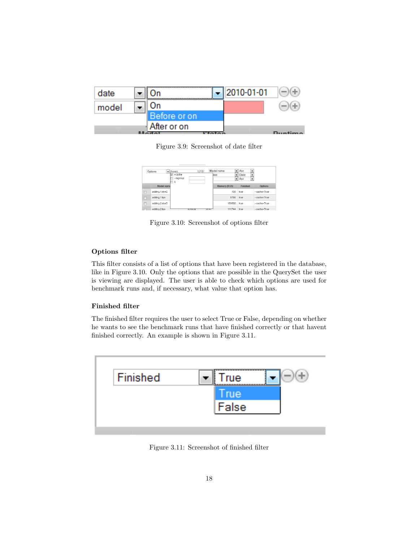| date  |              | $-$ 2010-01-01 |  |
|-------|--------------|----------------|--|
| model | On           |                |  |
|       | Before or on |                |  |
|       | After or on  |                |  |

Figure 3.9: Screenshot of date filter

|            | Options       | $\bullet$ (hover) | $\bigoplus$ | Model name          | العاد | Asc             | $\ddot{}$                |                |
|------------|---------------|-------------------|-------------|---------------------|-------|-----------------|--------------------------|----------------|
|            |               | $-cache$          |             | ites                | ×.    | Desc            | ۰                        |                |
|            |               | -regroup<br>a     |             |                     | ∽∥    | Asc             | $\overline{\phantom{a}}$ |                |
|            | Model name    |                   |             | <b>Memory (RSS)</b> |       | <b>Finished</b> |                          | <b>Options</b> |
| $\Box$     | adding.1.dveC |                   |             |                     | 156   | true            |                          | $-cache=True$  |
| $\Box$     | adding.1.lps  |                   |             |                     | 8780  | true            |                          | $-cache=True$  |
| n          | adding.2.dveC |                   |             | 159592              |       | true            |                          | $-cache=True$  |
| $\sqrt{2}$ | odding 3 Inc. |                   | --------    | 444744<br>----      |       | terra.          |                          | cocho-Trus     |

Figure 3.10: Screenshot of options filter

#### Options filter

This filter consists of a list of options that have been registered in the database, like in Figure 3.10. Only the options that are possible in the QuerySet the user is viewing are displayed. The user is able to check which options are used for benchmark runs and, if necessary, what value that option has.

#### Finished filter

The finished filter requires the user to select True or False, depending on whether he wants to see the benchmark runs that have finished correctly or that havent finished correctly. An example is shown in Figure 3.11.



Figure 3.11: Screenshot of finished filter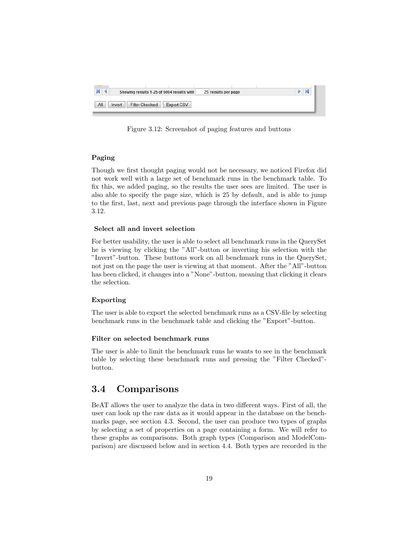| $\mathbb N$   | Showing results 1-25 of 6004 results with |            | 25 results per page |  |
|---------------|-------------------------------------------|------------|---------------------|--|
| All<br>Invert | <b>Filter Checked</b>                     | Export CSV |                     |  |

Figure 3.12: Screenshot of paging features and buttons

#### Paging

Though we first thought paging would not be necessary, we noticed Firefox did not work well with a large set of benchmark runs in the benchmark table. To fix this, we added paging, so the results the user sees are limited. The user is also able to specify the page size, which is 25 by default, and is able to jump to the first, last, next and previous page through the interface shown in Figure 3.12.

#### Select all and invert selection

For better usability, the user is able to select all benchmark runs in the QuerySet he is viewing by clicking the "All"-button or inverting his selection with the "Invert"-button. These buttons work on all benchmark runs in the QuerySet, not just on the page the user is viewing at that moment. After the "All"-button has been clicked, it changes into a "None"-button, meaning that clicking it clears the selection.

#### Exporting

The user is able to export the selected benchmark runs as a CSV-file by selecting benchmark runs in the benchmark table and clicking the "Export"-button.

#### Filter on selected benchmark runs

The user is able to limit the benchmark runs he wants to see in the benchmark table by selecting these benchmark runs and pressing the "Filter Checked" button.

### 3.4 Comparisons

BeAT allows the user to analyze the data in two different ways. First of all, the user can look up the raw data as it would appear in the database on the benchmarks page, see section 4.3. Second, the user can produce two types of graphs by selecting a set of properties on a page containing a form. We will refer to these graphs as comparisons. Both graph types (Comparison and ModelComparison) are discussed below and in section 4.4. Both types are recorded in the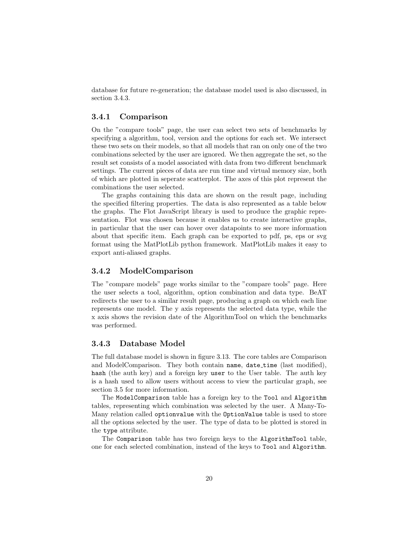database for future re-generation; the database model used is also discussed, in section 3.4.3.

#### 3.4.1 Comparison

On the "compare tools" page, the user can select two sets of benchmarks by specifying a algorithm, tool, version and the options for each set. We intersect these two sets on their models, so that all models that ran on only one of the two combinations selected by the user are ignored. We then aggregate the set, so the result set consists of a model associated with data from two different benchmark settings. The current pieces of data are run time and virtual memory size, both of which are plotted in seperate scatterplot. The axes of this plot represent the combinations the user selected.

The graphs containing this data are shown on the result page, including the specified filtering properties. The data is also represented as a table below the graphs. The Flot JavaScript library is used to produce the graphic representation. Flot was chosen because it enables us to create interactive graphs, in particular that the user can hover over datapoints to see more information about that specific item. Each graph can be exported to pdf, ps, eps or svg format using the MatPlotLib python framework. MatPlotLib makes it easy to export anti-aliased graphs.

#### 3.4.2 ModelComparison

The "compare models" page works similar to the "compare tools" page. Here the user selects a tool, algorithm, option combination and data type. BeAT redirects the user to a similar result page, producing a graph on which each line represents one model. The y axis represents the selected data type, while the x axis shows the revision date of the AlgorithmTool on which the benchmarks was performed.

### 3.4.3 Database Model

The full database model is shown in figure 3.13. The core tables are Comparison and ModelComparison. They both contain name, date\_time (last modified), hash (the auth key) and a foreign key user to the User table. The auth key is a hash used to allow users without access to view the particular graph, see section 3.5 for more information.

The ModelComparison table has a foreign key to the Tool and Algorithm tables, representing which combination was selected by the user. A Many-To-Many relation called optionvalue with the OptionValue table is used to store all the options selected by the user. The type of data to be plotted is stored in the type attribute.

The Comparison table has two foreign keys to the AlgorithmTool table, one for each selected combination, instead of the keys to Tool and Algorithm.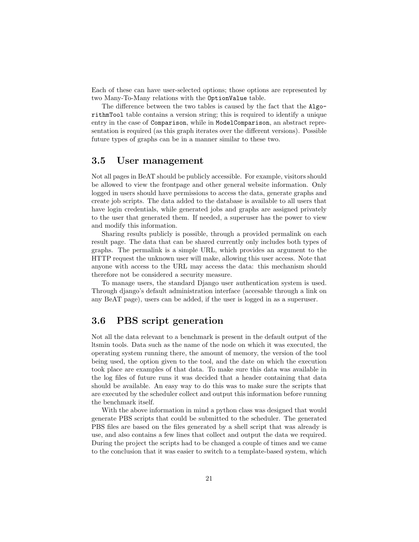Each of these can have user-selected options; those options are represented by two Many-To-Many relations with the OptionValue table.

The difference between the two tables is caused by the fact that the AlgorithmTool table contains a version string; this is required to identify a unique entry in the case of Comparison, while in ModelComparison, an abstract representation is required (as this graph iterates over the different versions). Possible future types of graphs can be in a manner similar to these two.

#### 3.5 User management

Not all pages in BeAT should be publicly accessible. For example, visitors should be allowed to view the frontpage and other general website information. Only logged in users should have permissions to access the data, generate graphs and create job scripts. The data added to the database is available to all users that have login credentials, while generated jobs and graphs are assigned privately to the user that generated them. If needed, a superuser has the power to view and modify this information.

Sharing results publicly is possible, through a provided permalink on each result page. The data that can be shared currently only includes both types of graphs. The permalink is a simple URL, which provides an argument to the HTTP request the unknown user will make, allowing this user access. Note that anyone with access to the URL may access the data: this mechanism should therefore not be considered a security measure.

To manage users, the standard Django user authentication system is used. Through django's default administration interface (accesable through a link on any BeAT page), users can be added, if the user is logged in as a superuser.

## 3.6 PBS script generation

Not all the data relevant to a benchmark is present in the default output of the ltsmin tools. Data such as the name of the node on which it was executed, the operating system running there, the amount of memory, the version of the tool being used, the option given to the tool, and the date on which the execution took place are examples of that data. To make sure this data was available in the log files of future runs it was decided that a header containing that data should be available. An easy way to do this was to make sure the scripts that are executed by the scheduler collect and output this information before running the benchmark itself.

With the above information in mind a python class was designed that would generate PBS scripts that could be submitted to the scheduler. The generated PBS files are based on the files generated by a shell script that was already is use, and also contains a few lines that collect and output the data we required. During the project the scripts had to be changed a couple of times and we came to the conclusion that it was easier to switch to a template-based system, which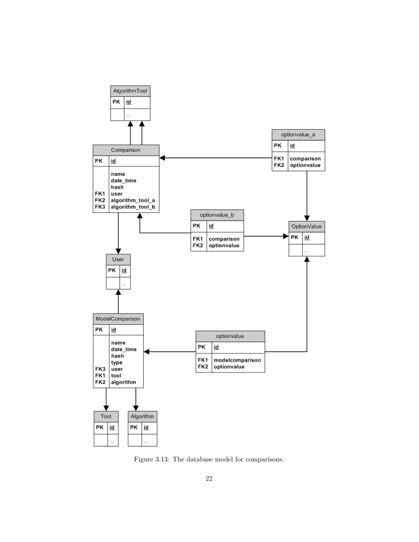

Figure 3.13: The database model for comparisons.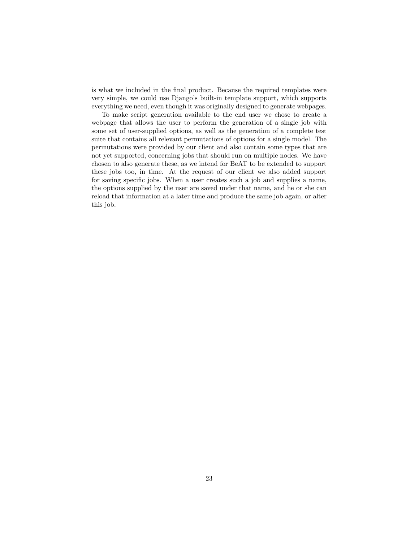is what we included in the final product. Because the required templates were very simple, we could use Django's built-in template support, which supports everything we need, even though it was originally designed to generate webpages.

To make script generation available to the end user we chose to create a webpage that allows the user to perform the generation of a single job with some set of user-supplied options, as well as the generation of a complete test suite that contains all relevant permutations of options for a single model. The permutations were provided by our client and also contain some types that are not yet supported, concerning jobs that should run on multiple nodes. We have chosen to also generate these, as we intend for BeAT to be extended to support these jobs too, in time. At the request of our client we also added support for saving specific jobs. When a user creates such a job and supplies a name, the options supplied by the user are saved under that name, and he or she can reload that information at a later time and produce the same job again, or alter this job.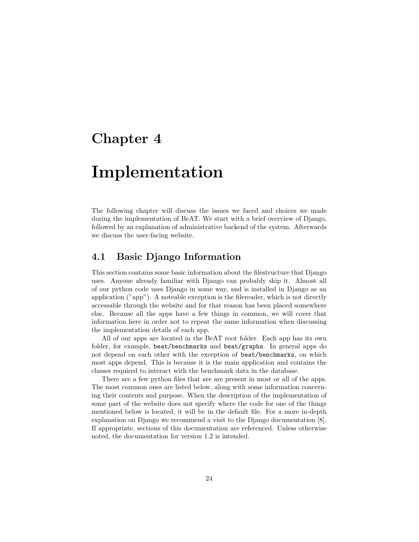# Implementation

The following chapter will discuss the issues we faced and choices we made during the implementation of BeAT. We start with a brief overview of Django, followed by an explanation of administrative backend of the system. Afterwards we discuss the user-facing website.

## 4.1 Basic Django Information

This section contains some basic information about the filestructure that Django uses. Anyone already familiar with Django can probably skip it. Almost all of our python code uses Django in some way, and is installed in Django as an application ("app"). A noteable exception is the filereader, which is not directly accessable through the website and for that reason has been placed somewhere else. Because all the apps have a few things in common, we will cover that information here in order not to repeat the same information when discussing the implementation details of each app.

All of our apps are located in the BeAT root folder. Each app has its own folder, for example, beat/benchmarks and beat/graphs. In general apps do not depend on each other with the exception of beat/benchmarks, on which most apps depend. This is because it is the main application and contains the classes required to interact with the benchmark data in the database.

There are a few python files that are are present in most or all of the apps. The most common ones are listed below, along with some information concerning their contents and purpose. When the description of the implementation of some part of the website does not specify where the code for one of the things mentioned below is located, it will be in the default file. For a more in-depth explanation on Django we recommend a visit to the Django documentation [8]. If appropriate, sections of this documentation are referenced. Unless otherwise noted, the documentation for version 1.2 is intended.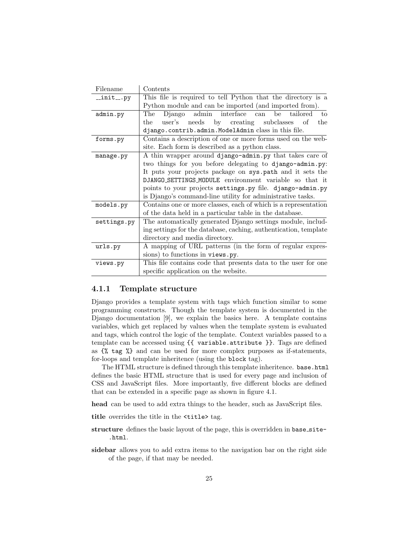| Filename    | Contents                                                         |  |  |  |  |  |  |
|-------------|------------------------------------------------------------------|--|--|--|--|--|--|
| __init__.py | This file is required to tell Python that the directory is a     |  |  |  |  |  |  |
|             | Python module and can be imported (and imported from).           |  |  |  |  |  |  |
| admin.py    | admin<br>interface can<br>Django<br>be<br>tailored<br>The<br>to  |  |  |  |  |  |  |
|             | needs by creating subclasses<br>user's<br>of<br>the<br>the       |  |  |  |  |  |  |
|             | django.contrib.admin.ModelAdmin class in this file.              |  |  |  |  |  |  |
| forms.py    | Contains a description of one or more forms used on the web-     |  |  |  |  |  |  |
|             | site. Each form is described as a python class.                  |  |  |  |  |  |  |
| manage.py   | A thin wrapper around django-admin.py that takes care of         |  |  |  |  |  |  |
|             | two things for you before delegating to django-admin.py:         |  |  |  |  |  |  |
|             | It puts your projects package on sys. path and it sets the       |  |  |  |  |  |  |
|             | DJANGO_SETTINGS_MODULE environment variable so that it           |  |  |  |  |  |  |
|             | points to your projects settings.py file. django-admin.py        |  |  |  |  |  |  |
|             | is Django's command-line utility for administrative tasks.       |  |  |  |  |  |  |
| models.py   | Contains one or more classes, each of which is a representation  |  |  |  |  |  |  |
|             | of the data held in a particular table in the database.          |  |  |  |  |  |  |
| settings.py | The automatically generated Django settings module, includ-      |  |  |  |  |  |  |
|             | ing settings for the database, caching, authentication, template |  |  |  |  |  |  |
|             | directory and media directory.                                   |  |  |  |  |  |  |
| urls.py     | A mapping of URL patterns (in the form of regular expres-        |  |  |  |  |  |  |
|             | sions) to functions in views.py.                                 |  |  |  |  |  |  |
| views.py    | This file contains code that presents data to the user for one   |  |  |  |  |  |  |
|             | specific application on the website.                             |  |  |  |  |  |  |

#### 4.1.1 Template structure

Django provides a template system with tags which function similar to some programming constructs. Though the template system is documented in the Django documentation [9], we explain the basics here. A template contains variables, which get replaced by values when the template system is evaluated and tags, which control the logic of the template. Context variables passed to a template can be accessed using {{ variable.attribute }}. Tags are defined as {% tag %} and can be used for more complex purposes as if-statements, for-loops and template inheritence (using the block tag).

The HTML structure is defined through this template inheritence. base.html defines the basic HTML structure that is used for every page and inclusion of CSS and JavaScript files. More importantly, five different blocks are defined that can be extended in a specific page as shown in figure 4.1.

head can be used to add extra things to the header, such as JavaScript files.

title overrides the title in the <title> tag.

- structure defines the basic layout of the page, this is overridden in base\_site-.html.
- sidebar allows you to add extra items to the navigation bar on the right side of the page, if that may be needed.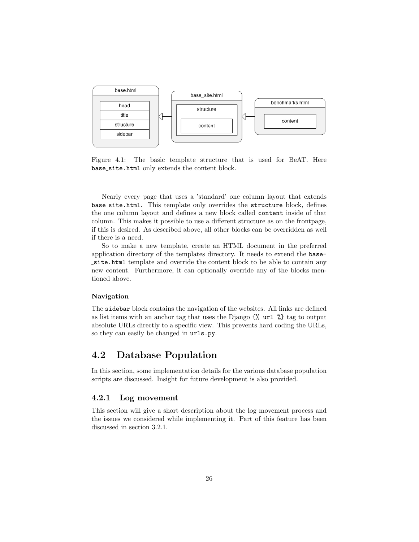

Figure 4.1: The basic template structure that is used for BeAT. Here base site.html only extends the content block.

Nearly every page that uses a 'standard' one column layout that extends base site.html. This template only overrides the structure block, defines the one column layout and defines a new block called content inside of that column. This makes it possible to use a different structure as on the frontpage, if this is desired. As described above, all other blocks can be overridden as well if there is a need.

So to make a new template, create an HTML document in the preferred application directory of the templates directory. It needs to extend the basesite.html template and override the content block to be able to contain any new content. Furthermore, it can optionally override any of the blocks mentioned above.

#### Navigation

The sidebar block contains the navigation of the websites. All links are defined as list items with an anchor tag that uses the Django  $\mathcal{K}$  url  $\mathcal{K}$  tag to output absolute URLs directly to a specific view. This prevents hard coding the URLs, so they can easily be changed in urls.py.

### 4.2 Database Population

In this section, some implementation details for the various database population scripts are discussed. Insight for future development is also provided.

#### 4.2.1 Log movement

This section will give a short description about the log movement process and the issues we considered while implementing it. Part of this feature has been discussed in section 3.2.1.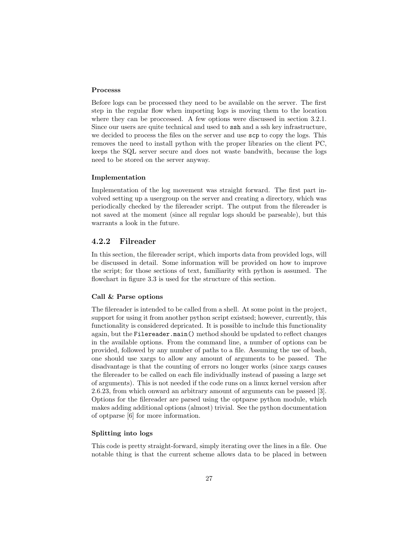#### Processs

Before logs can be processed they need to be available on the server. The first step in the regular flow when importing logs is moving them to the location where they can be proccessed. A few options were discussed in section 3.2.1. Since our users are quite technical and used to ssh and a ssh key infrastructure, we decided to process the files on the server and use scp to copy the logs. This removes the need to install python with the proper libraries on the client PC, keeps the SQL server secure and does not waste bandwith, because the logs need to be stored on the server anyway.

#### Implementation

Implementation of the log movement was straight forward. The first part involved setting up a usergroup on the server and creating a directory, which was periodically checked by the filereader script. The output from the filereader is not saved at the moment (since all regular logs should be parseable), but this warrants a look in the future.

#### 4.2.2 Filreader

In this section, the filereader script, which imports data from provided logs, will be discussed in detail. Some information will be provided on how to improve the script; for those sections of text, familiarity with python is assumed. The flowchart in figure 3.3 is used for the structure of this section.

#### Call & Parse options

The filereader is intended to be called from a shell. At some point in the project, support for using it from another python script existsed; however, currently, this functionality is considered depricated. It is possible to include this functionality again, but the Filereader.main() method should be updated to reflect changes in the available options. From the command line, a number of options can be provided, followed by any number of paths to a file. Assuming the use of bash, one should use xargs to allow any amount of arguments to be passed. The disadvantage is that the counting of errors no longer works (since xargs causes the filereader to be called on each file individually instead of passing a large set of arguments). This is not needed if the code runs on a linux kernel version after 2.6.23, from which onward an arbitrary amount of arguments can be passed [3]. Options for the filereader are parsed using the optparse python module, which makes adding additional options (almost) trivial. See the python documentation of optparse [6] for more information.

#### Splitting into logs

This code is pretty straight-forward, simply iterating over the lines in a file. One notable thing is that the current scheme allows data to be placed in between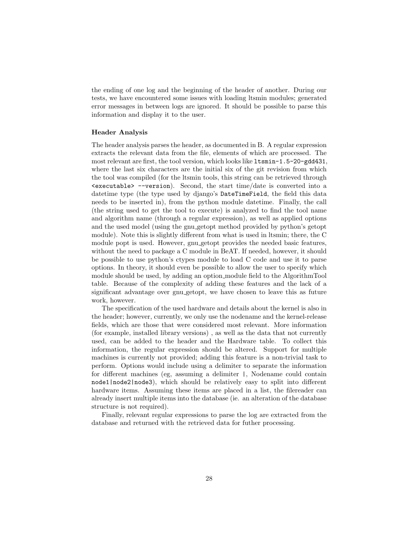the ending of one log and the beginning of the header of another. During our tests, we have encountered some issues with loading ltsmin modules; generated error messages in between logs are ignored. It should be possible to parse this information and display it to the user.

#### Header Analysis

The header analysis parses the header, as documented in B. A regular expression extracts the relevant data from the file, elements of which are processed. The most relevant are first, the tool version, which looks like ltsmin-1.5-20-gdd431, where the last six characters are the initial six of the git revision from which the tool was compiled (for the ltsmin tools, this string can be retrieved through  $\epsilon$  sexecutable>  $\epsilon$ -version). Second, the start time/date is converted into a datetime type (the type used by django's DateTimeField, the field this data needs to be inserted in), from the python module datetime. Finally, the call (the string used to get the tool to execute) is analyzed to find the tool name and algorithm name (through a regular expression), as well as applied options and the used model (using the gnu getopt method provided by python's getopt module). Note this is slightly different from what is used in ltsmin; there, the C module popt is used. However, gnu getopt provides the needed basic features, without the need to package a C module in BeAT. If needed, however, it should be possible to use python's ctypes module to load C code and use it to parse options. In theory, it should even be possible to allow the user to specify which module should be used, by adding an option module field to the AlgorithmTool table. Because of the complexity of adding these features and the lack of a significant advantage over gnu getopt, we have chosen to leave this as future work, however.

The specification of the used hardware and details about the kernel is also in the header; however, currently, we only use the nodename and the kernel-release fields, which are those that were considered most relevant. More information (for example, installed library versions) , as well as the data that not currently used, can be added to the header and the Hardware table. To collect this information, the regular expression should be altered. Support for multiple machines is currently not provided; adding this feature is a non-trivial task to perform. Options would include using a delimiter to separate the information for different machines (eg, assuming a delimiter |, Nodename could contain node1|node2|node3), which should be relatively easy to split into different hardware items. Assuming these items are placed in a list, the filereader can already insert multiple items into the database (ie. an alteration of the database structure is not required).

Finally, relevant regular expressions to parse the log are extracted from the database and returned with the retrieved data for futher processing.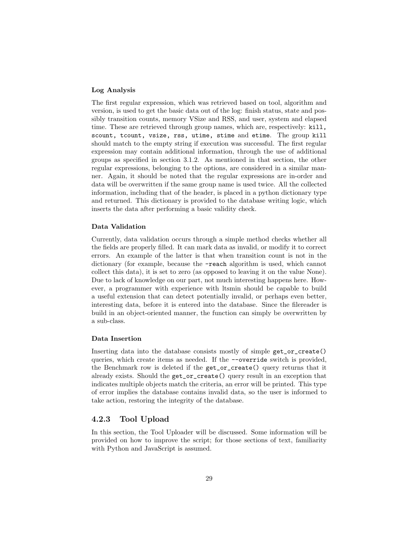#### Log Analysis

The first regular expression, which was retrieved based on tool, algorithm and version, is used to get the basic data out of the log: finish status, state and possibly transition counts, memory VSize and RSS, and user, system and elapsed time. These are retrieved through group names, which are, respectively: kill, scount, tcount, vsize, rss, utime, stime and etime. The group kill should match to the empty string if execution was successful. The first regular expression may contain additional information, through the use of additional groups as specified in section 3.1.2. As mentioned in that section, the other regular expressions, belonging to the options, are considered in a similar manner. Again, it should be noted that the regular expressions are in-order and data will be overwritten if the same group name is used twice. All the collected information, including that of the header, is placed in a python dictionary type and returned. This dictionary is provided to the database writing logic, which inserts the data after performing a basic validity check.

#### Data Validation

Currently, data validation occurs through a simple method checks whether all the fields are properly filled. It can mark data as invalid, or modify it to correct errors. An example of the latter is that when transition count is not in the dictionary (for example, because the -reach algorithm is used, which cannot collect this data), it is set to zero (as opposed to leaving it on the value None). Due to lack of knowledge on our part, not much interesting happens here. However, a programmer with experience with ltsmin should be capable to build a useful extension that can detect potentially invalid, or perhaps even better, interesting data, before it is entered into the database. Since the filereader is build in an object-oriented manner, the function can simply be overwritten by a sub-class.

#### Data Insertion

Inserting data into the database consists mostly of simple get\_or\_create() queries, which create items as needed. If the --override switch is provided, the Benchmark row is deleted if the get\_or\_create() query returns that it already exists. Should the get\_or\_create() query result in an exception that indicates multiple objects match the criteria, an error will be printed. This type of error implies the database contains invalid data, so the user is informed to take action, restoring the integrity of the database.

#### 4.2.3 Tool Upload

In this section, the Tool Uploader will be discussed. Some information will be provided on how to improve the script; for those sections of text, familiarity with Python and JavaScript is assumed.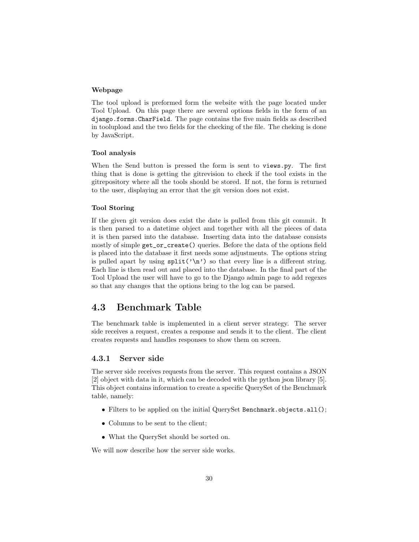#### Webpage

The tool upload is preformed form the website with the page located under Tool Upload. On this page there are several options fields in the form of an django.forms.CharField. The page contains the five main fields as described in toolupload and the two fields for the checking of the file. The cheking is done by JavaScript.

#### Tool analysis

When the Send button is pressed the form is sent to views.py. The first thing that is done is getting the gitrevision to check if the tool exists in the gitrepository where all the tools should be stored. If not, the form is returned to the user, displaying an error that the git version does not exist.

#### Tool Storing

If the given git version does exist the date is pulled from this git commit. It is then parsed to a datetime object and together with all the pieces of data it is then parsed into the database. Inserting data into the database consists mostly of simple get\_or\_create() queries. Before the data of the options field is placed into the database it first needs some adjustments. The options string is pulled apart by using  $\text{split}(\cdot \setminus n)$  so that every line is a different string. Each line is then read out and placed into the database. In the final part of the Tool Upload the user will have to go to the Django admin page to add regexes so that any changes that the options bring to the log can be parsed.

### 4.3 Benchmark Table

The benchmark table is implemented in a client server strategy. The server side receives a request, creates a response and sends it to the client. The client creates requests and handles responses to show them on screen.

#### 4.3.1 Server side

The server side receives requests from the server. This request contains a JSON [2] object with data in it, which can be decoded with the python json library [5]. This object contains information to create a specific QuerySet of the Benchmark table, namely:

- Filters to be applied on the initial QuerySet Benchmark.objects.all();
- Columns to be sent to the client;
- What the QuerySet should be sorted on.

We will now describe how the server side works.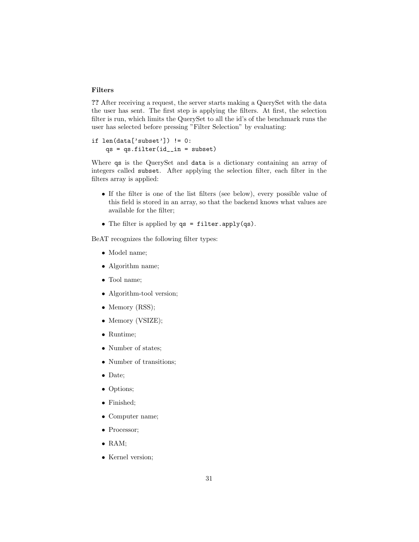#### Filters

?? After receiving a request, the server starts making a QuerySet with the data the user has sent. The first step is applying the filters. At first, the selection filter is run, which limits the QuerySet to all the id's of the benchmark runs the user has selected before pressing "Filter Selection" by evaluating:

#### if  $len(data['subset']$   $!= 0$ :  $qs = qs.fiter(id_in = subset)$

Where qs is the QuerySet and data is a dictionary containing an array of integers called subset. After applying the selection filter, each filter in the filters array is applied:

- If the filter is one of the list filters (see below), every possible value of this field is stored in an array, so that the backend knows what values are available for the filter;
- The filter is applied by qs = filter.apply(qs).

BeAT recognizes the following filter types:

- Model name;
- Algorithm name;
- Tool name;
- Algorithm-tool version;
- Memory (RSS);
- Memory (VSIZE);
- Runtime;
- Number of states;
- Number of transitions;
- Date;
- Options;
- Finished;
- Computer name;
- Processor;
- RAM;
- Kernel version;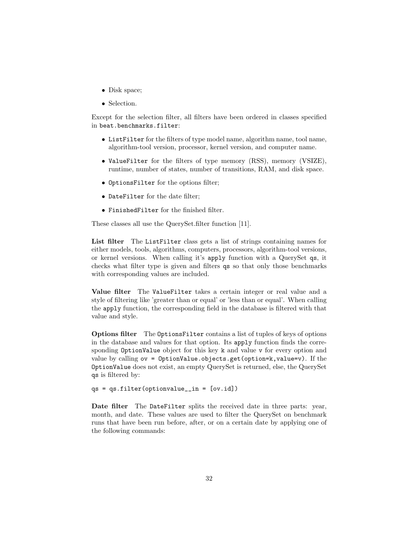- Disk space;
- Selection.

Except for the selection filter, all filters have been ordered in classes specified in beat.benchmarks.filter:

- ListFilter for the filters of type model name, algorithm name, tool name, algorithm-tool version, processor, kernel version, and computer name.
- ValueFilter for the filters of type memory (RSS), memory (VSIZE), runtime, number of states, number of transitions, RAM, and disk space.
- OptionsFilter for the options filter;
- DateFilter for the date filter;
- FinishedFilter for the finished filter.

These classes all use the QuerySet.filter function [11].

List filter The List Filter class gets a list of strings containing names for either models, tools, algorithms, computers, processors, algorithm-tool versions, or kernel versions. When calling it's apply function with a QuerySet qs, it checks what filter type is given and filters qs so that only those benchmarks with corresponding values are included.

Value filter The ValueFilter takes a certain integer or real value and a style of filtering like 'greater than or equal' or 'less than or equal'. When calling the apply function, the corresponding field in the database is filtered with that value and style.

Options filter The OptionsFilter contains a list of tuples of keys of options in the database and values for that option. Its apply function finds the corresponding OptionValue object for this key k and value v for every option and value by calling  $ov =$  OptionValue.objects.get(option=k,value=v). If the OptionValue does not exist, an empty QuerySet is returned, else, the QuerySet qs is filtered by:

```
qs = qs.fiter(optimvalue_in = [ov.id])
```
Date filter The DateFilter splits the received date in three parts: year, month, and date. These values are used to filter the QuerySet on benchmark runs that have been run before, after, or on a certain date by applying one of the following commands: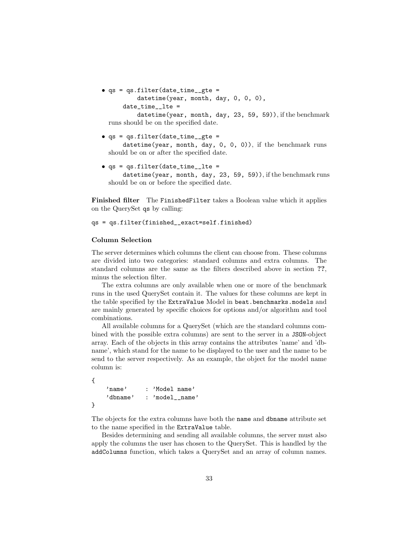```
• qs = qs.filter(date_time__gte =
          datetime(year, month, day, 0, 0, 0),
      date_time ltie =
```
datetime(year, month, day, 23, 59, 59)), if the benchmark runs should be on the specified date.

- $\bullet$  qs = qs.filter(date\_time\_\_gte = datetime(year, month, day, 0, 0, 0)), if the benchmark runs should be on or after the specified date.
- $\bullet$  qs = qs.filter(date\_time\_lte = datetime(year, month, day, 23, 59, 59)), if the benchmark runs should be on or before the specified date.

Finished filter The FinishedFilter takes a Boolean value which it applies on the QuerySet qs by calling:

qs = qs.filter(finished\_\_exact=self.finished)

#### Column Selection

The server determines which columns the client can choose from. These columns are divided into two categories: standard columns and extra columns. The standard columns are the same as the filters described above in section ??, minus the selection filter.

The extra columns are only available when one or more of the benchmark runs in the used QuerySet contain it. The values for these columns are kept in the table specified by the ExtraValue Model in beat.benchmarks.models and are mainly generated by specific choices for options and/or algorithm and tool combinations.

All available columns for a QuerySet (which are the standard columns combined with the possible extra columns) are sent to the server in a JSON-object array. Each of the objects in this array contains the attributes 'name' and 'dbname', which stand for the name to be displayed to the user and the name to be send to the server respectively. As an example, the object for the model name column is:

```
{
    'name' : 'Model name'
    'dbname' : 'model__name'
}
```
The objects for the extra columns have both the name and dbname attribute set to the name specified in the ExtraValue table.

Besides determining and sending all available columns, the server must also apply the columns the user has chosen to the QuerySet. This is handled by the addColumns function, which takes a QuerySet and an array of column names.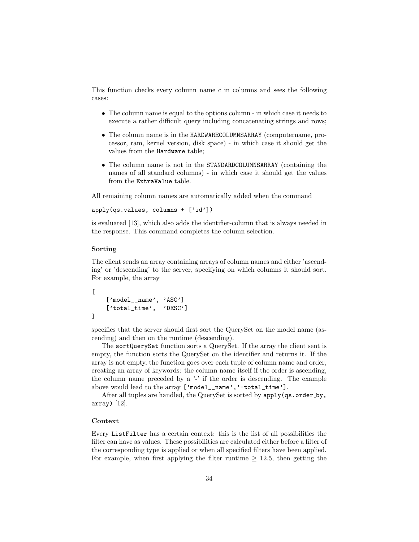This function checks every column name c in columns and sees the following cases:

- The column name is equal to the options column in which case it needs to execute a rather difficult query including concatenating strings and rows;
- The column name is in the HARDWARECOLUMNSARRAY (computername, processor, ram, kernel version, disk space) - in which case it should get the values from the Hardware table;
- The column name is not in the STANDARDCOLUMNSARRAY (containing the names of all standard columns) - in which case it should get the values from the ExtraValue table.

All remaining column names are automatically added when the command

```
apply(qs.values, columns + ['id'])
```
is evaluated [13], which also adds the identifier-column that is always needed in the response. This command completes the column selection.

#### Sorting

The client sends an array containing arrays of column names and either 'ascending' or 'descending' to the server, specifying on which columns it should sort. For example, the array

```
\Gamma['model__name', 'ASC']
    ['total_time', 'DESC']
]
```
specifies that the server should first sort the QuerySet on the model name (ascending) and then on the runtime (descending).

The sortQuerySet function sorts a QuerySet. If the array the client sent is empty, the function sorts the QuerySet on the identifier and returns it. If the array is not empty, the function goes over each tuple of column name and order, creating an array of keywords: the column name itself if the order is ascending, the column name preceded by a '-' if the order is descending. The example above would lead to the array ['model\_\_name','-total\_time'].

After all tuples are handled, the QuerySet is sorted by apply(qs.order\_by, array) [12].

#### Context

Every ListFilter has a certain context: this is the list of all possibilities the filter can have as values. These possibilities are calculated either before a filter of the corresponding type is applied or when all specified filters have been applied. For example, when first applying the filter runtime  $\geq$  12.5, then getting the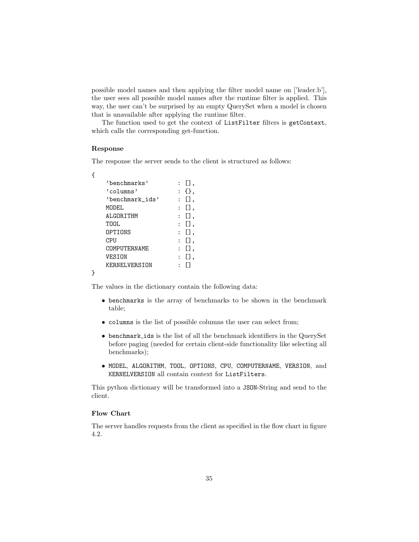possible model names and then applying the filter model name on ['leader.b'], the user sees all possible model names after the runtime filter is applied. This way, the user can't be surprised by an empty QuerySet when a model is chosen that is unavailable after applying the runtime filter.

The function used to get the context of ListFilter filters is getContext, which calls the corresponding get-function.

#### Response

The response the server sends to the client is structured as follows:

```
{
```
}

| 'henchmarks'    | 日.  |
|-----------------|-----|
| 'columns'       | {}, |
| 'benchmark ids' | Ω.  |
| MODEI.          | Π,  |
| ALGORTTHM       | Ω.  |
| TOOL.           | П.  |
| OPTIONS         | Ω.  |
| CPU             | П.  |
| COMPUTERNAME    | Ω.  |
| VESTON          | П.  |
| KERNELVERSION   |     |
|                 |     |

The values in the dictionary contain the following data:

- benchmarks is the array of benchmarks to be shown in the benchmark table;
- columns is the list of possible columns the user can select from;
- benchmark ids is the list of all the benchmark identifiers in the QuerySet before paging (needed for certain client-side functionality like selecting all benchmarks);
- MODEL, ALGORITHM, TOOL, OPTIONS, CPU, COMPUTERNAME, VERSION, and KERNELVERSION all contain context for ListFilters.

This python dictionary will be transformed into a JSON-String and send to the client.

#### Flow Chart

The server handles requests from the client as specified in the flow chart in figure 4.2.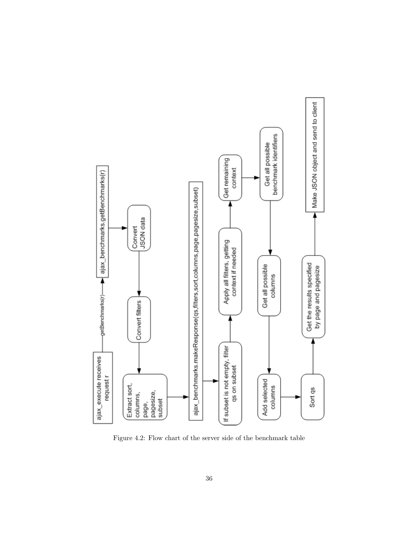

Figure 4.2: Flow chart of the server side of the benchmark table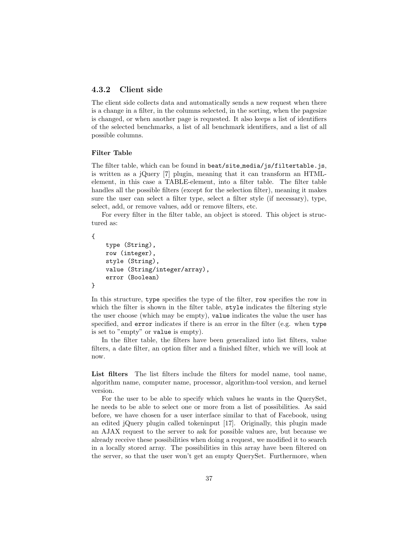### 4.3.2 Client side

The client side collects data and automatically sends a new request when there is a change in a filter, in the columns selected, in the sorting, when the pagesize is changed, or when another page is requested. It also keeps a list of identifiers of the selected benchmarks, a list of all benchmark identifiers, and a list of all possible columns.

#### Filter Table

The filter table, which can be found in beat/site media/js/filtertable.js, is written as a jQuery [7] plugin, meaning that it can transform an HTMLelement, in this case a TABLE-element, into a filter table. The filter table handles all the possible filters (except for the selection filter), meaning it makes sure the user can select a filter type, select a filter style (if necessary), type, select, add, or remove values, add or remove filters, etc.

For every filter in the filter table, an object is stored. This object is structured as:

```
{
```
}

```
type (String),
row (integer),
style (String),
value (String/integer/array),
error (Boolean)
```
In this structure, type specifies the type of the filter, row specifies the row in which the filter is shown in the filter table, style indicates the filtering style the user choose (which may be empty), value indicates the value the user has specified, and error indicates if there is an error in the filter (e.g. when type is set to "empty" or value is empty).

In the filter table, the filters have been generalized into list filters, value filters, a date filter, an option filter and a finished filter, which we will look at now.

List filters The list filters include the filters for model name, tool name, algorithm name, computer name, processor, algorithm-tool version, and kernel version.

For the user to be able to specify which values he wants in the QuerySet, he needs to be able to select one or more from a list of possibilities. As said before, we have chosen for a user interface similar to that of Facebook, using an edited jQuery plugin called tokeninput [17]. Originally, this plugin made an AJAX request to the server to ask for possible values are, but because we already receive these possibilities when doing a request, we modified it to search in a locally stored array. The possibilities in this array have been filtered on the server, so that the user won't get an empty QuerySet. Furthermore, when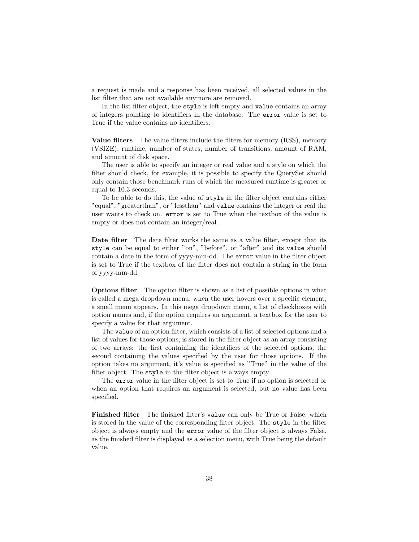a request is made and a response has been received, all selected values in the list filter that are not available anymore are removed.

In the list filter object, the style is left empty and value contains an array of integers pointing to identifiers in the database. The error value is set to True if the value contains no identifiers.

Value filters The value filters include the filters for memory (RSS), memory (VSIZE), runtime, number of states, number of transitions, amount of RAM, and amount of disk space.

The user is able to specify an integer or real value and a style on which the filter should check, for example, it is possible to specify the QuerySet should only contain those benchmark runs of which the measured runtime is greater or equal to 10.3 seconds.

To be able to do this, the value of style in the filter object contains either "equal", "greaterthan", or "lessthan" and value contains the integer or real the user wants to check on. error is set to True when the textbox of the value is empty or does not contain an integer/real.

Date filter The date filter works the same as a value filter, except that its style can be equal to either "on", "before", or "after" and its value should contain a date in the form of yyyy-mm-dd. The error value in the filter object is set to True if the textbox of the filter does not contain a string in the form of yyyy-mm-dd.

Options filter The option filter is shown as a list of possible options in what is called a mega dropdown menu; when the user hovers over a specific element, a small menu appears. In this mega dropdown menu, a list of checkboxes with option names and, if the option requires an argument, a textbox for the user to specify a value for that argument.

The value of an option filter, which consists of a list of selected options and a list of values for those options, is stored in the filter object as an array consisting of two arrays: the first containing the identifiers of the selected options, the second containing the values specified by the user for those options. If the option takes no argument, it's value is specified as "True" in the value of the filter object. The style in the filter object is always empty.

The error value in the filter object is set to True if no option is selected or when an option that requires an argument is selected, but no value has been specified.

Finished filter The finished filter's value can only be True or False, which is stored in the value of the corresponding filter object. The style in the filter object is always empty and the error value of the filter object is always False, as the finished filter is displayed as a selection menu, with True being the default value.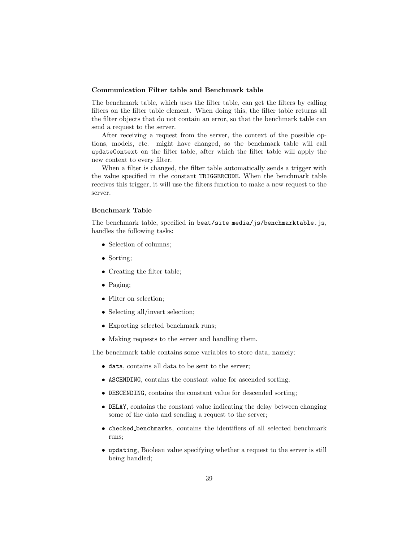#### Communication Filter table and Benchmark table

The benchmark table, which uses the filter table, can get the filters by calling filters on the filter table element. When doing this, the filter table returns all the filter objects that do not contain an error, so that the benchmark table can send a request to the server.

After receiving a request from the server, the context of the possible options, models, etc. might have changed, so the benchmark table will call updateContext on the filter table, after which the filter table will apply the new context to every filter.

When a filter is changed, the filter table automatically sends a trigger with the value specified in the constant TRIGGERCODE. When the benchmark table receives this trigger, it will use the filters function to make a new request to the server.

#### Benchmark Table

The benchmark table, specified in beat/site media/js/benchmarktable.js, handles the following tasks:

- Selection of columns;
- Sorting;
- Creating the filter table;
- Paging;
- Filter on selection;
- Selecting all/invert selection;
- Exporting selected benchmark runs;
- Making requests to the server and handling them.

The benchmark table contains some variables to store data, namely:

- data, contains all data to be sent to the server;
- ASCENDING, contains the constant value for ascended sorting;
- DESCENDING, contains the constant value for descended sorting;
- DELAY, contains the constant value indicating the delay between changing some of the data and sending a request to the server;
- checked benchmarks, contains the identifiers of all selected benchmark runs;
- updating, Boolean value specifying whether a request to the server is still being handled;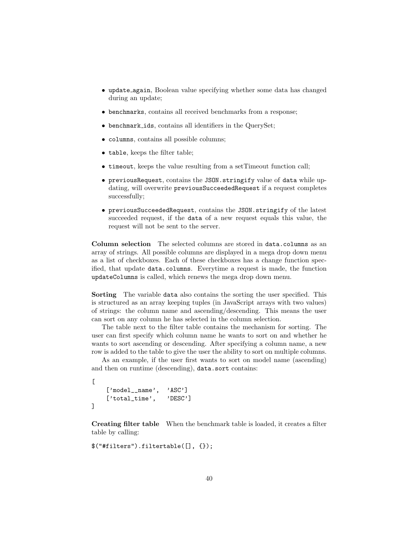- update again, Boolean value specifying whether some data has changed during an update;
- benchmarks, contains all received benchmarks from a response;
- benchmark ids, contains all identifiers in the QuerySet;
- columns, contains all possible columns;
- table, keeps the filter table;
- timeout, keeps the value resulting from a setTimeout function call;
- previousRequest, contains the JSON.stringify value of data while updating, will overwrite previousSucceededRequest if a request completes successfully;
- previousSucceededRequest, contains the JSON.stringify of the latest succeeded request, if the data of a new request equals this value, the request will not be sent to the server.

Column selection The selected columns are stored in data.columns as an array of strings. All possible columns are displayed in a mega drop down menu as a list of checkboxes. Each of these checkboxes has a change function specified, that update data.columns. Everytime a request is made, the function updateColumns is called, which renews the mega drop down menu.

Sorting The variable data also contains the sorting the user specified. This is structured as an array keeping tuples (in JavaScript arrays with two values) of strings: the column name and ascending/descending. This means the user can sort on any column he has selected in the column selection.

The table next to the filter table contains the mechanism for sorting. The user can first specify which column name he wants to sort on and whether he wants to sort ascending or descending. After specifying a column name, a new row is added to the table to give the user the ability to sort on multiple columns.

As an example, if the user first wants to sort on model name (ascending) and then on runtime (descending), data.sort contains:

```
\Gamma['model__name', 'ASC']
    ['total_time', 'DESC']
]
```
Creating filter table When the benchmark table is loaded, it creates a filter table by calling:

\$("#filters").filtertable([], {});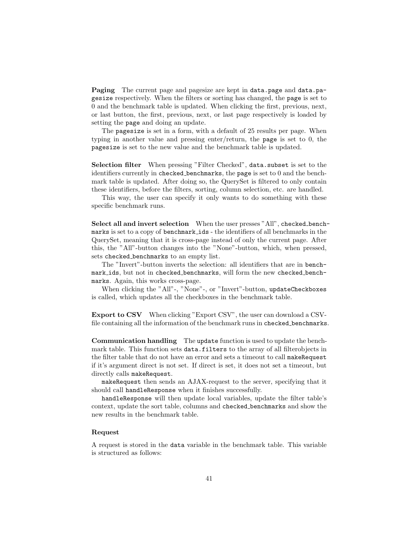Paging The current page and pagesize are kept in data.page and data.pagesize respectively. When the filters or sorting has changed, the page is set to 0 and the benchmark table is updated. When clicking the first, previous, next, or last button, the first, previous, next, or last page respectively is loaded by setting the page and doing an update.

The pagesize is set in a form, with a default of 25 results per page. When typing in another value and pressing enter/return, the page is set to 0, the pagesize is set to the new value and the benchmark table is updated.

Selection filter When pressing "Filter Checked", data.subset is set to the identifiers currently in checked benchmarks, the page is set to 0 and the benchmark table is updated. After doing so, the QuerySet is filtered to only contain these identifiers, before the filters, sorting, column selection, etc. are handled.

This way, the user can specify it only wants to do something with these specific benchmark runs.

Select all and invert selection When the user presses "All", checked benchmarks is set to a copy of benchmark ids - the identifiers of all benchmarks in the QuerySet, meaning that it is cross-page instead of only the current page. After this, the "All"-button changes into the "None"-button, which, when pressed, sets checked benchmarks to an empty list.

The "Invert"-button inverts the selection: all identifiers that are in benchmark ids, but not in checked benchmarks, will form the new checked benchmarks. Again, this works cross-page.

When clicking the "All"-, "None"-, or "Invert"-button, updateCheckboxes is called, which updates all the checkboxes in the benchmark table.

Export to CSV When clicking "Export CSV", the user can download a CSVfile containing all the information of the benchmark runs in checked benchmarks.

Communication handling The update function is used to update the benchmark table. This function sets data.filters to the array of all filterobjects in the filter table that do not have an error and sets a timeout to call makeRequest if it's argument direct is not set. If direct is set, it does not set a timeout, but directly calls makeRequest.

makeRequest then sends an AJAX-request to the server, specifying that it should call handleResponse when it finishes successfully.

handleResponse will then update local variables, update the filter table's context, update the sort table, columns and checked benchmarks and show the new results in the benchmark table.

#### Request

A request is stored in the data variable in the benchmark table. This variable is structured as follows: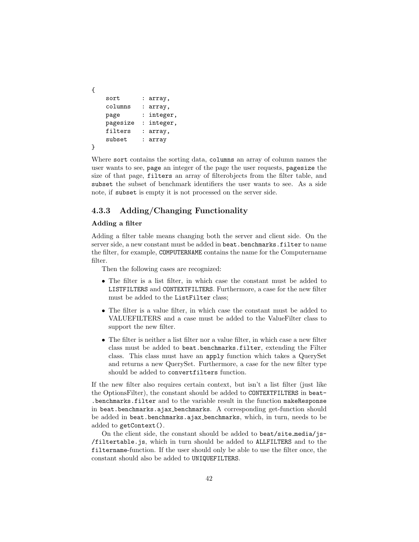```
{
   sort : array,
   columns : array,
   page : integer,
   pagesize : integer,
   filters : array,
   subset : array
}
```
Where sort contains the sorting data, columns an array of column names the user wants to see, page an integer of the page the user requests, pagesize the size of that page, filters an array of filterobjects from the filter table, and subset the subset of benchmark identifiers the user wants to see. As a side note, if subset is empty it is not processed on the server side.

### 4.3.3 Adding/Changing Functionality

#### Adding a filter

Adding a filter table means changing both the server and client side. On the server side, a new constant must be added in beat.benchmarks.filter to name the filter, for example, COMPUTERNAME contains the name for the Computername filter.

Then the following cases are recognized:

- The filter is a list filter, in which case the constant must be added to LISTFILTERS and CONTEXTFILTERS. Furthermore, a case for the new filter must be added to the ListFilter class;
- The filter is a value filter, in which case the constant must be added to VALUEFILTERS and a case must be added to the ValueFilter class to support the new filter.
- The filter is neither a list filter nor a value filter, in which case a new filter class must be added to beat.benchmarks.filter, extending the Filter class. This class must have an apply function which takes a QuerySet and returns a new QuerySet. Furthermore, a case for the new filter type should be added to convertfilters function.

If the new filter also requires certain context, but isn't a list filter (just like the OptionsFilter), the constant should be added to CONTEXTFILTERS in beat- .benchmarks.filter and to the variable result in the function makeResponse in beat.benchmarks.ajax benchmarks. A corresponding get-function should be added in beat.benchmarks.ajax benchmarks, which, in turn, needs to be added to getContext().

On the client side, the constant should be added to beat/site\_media/js-/filtertable.js, which in turn should be added to ALLFILTERS and to the filtername-function. If the user should only be able to use the filter once, the constant should also be added to UNIQUEFILTERS.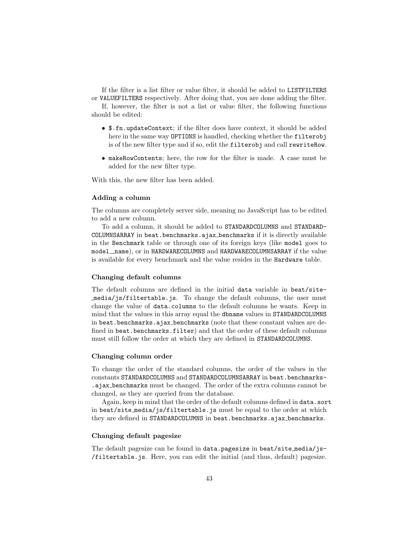If the filter is a list filter or value filter, it should be added to LISTFILTERS or VALUEFILTERS respectively. After doing that, you are done adding the filter.

If, however, the filter is not a list or value filter, the following functions should be edited:

- \$.fn.updateContext; if the filter does have context, it should be added here in the same way OPTIONS is handled, checking whether the filterobj is of the new filter type and if so, edit the filterobj and call rewriteRow.
- makeRowContents; here, the row for the filter is made. A case must be added for the new filter type.

With this, the new filter has been added.

#### Adding a column

The columns are completely server side, meaning no JavaScript has to be edited to add a new column.

To add a column, it should be added to STANDARDCOLUMNS and STANDARD-COLUMNSARRAY in beat.benchmarks.ajax benchmarks if it is directly available in the Benchmark table or through one of its foreign keys (like model goes to model\_name), or in HARDWARECOLUMNS and HARDWARECOLUMNSARRAY if the value is available for every benchmark and the value resides in the Hardware table.

#### Changing default columns

The default columns are defined in the initial data variable in beat/sitemedia/js/filtertable.js. To change the default columns, the user must change the value of data.columns to the default columns he wants. Keep in mind that the values in this array equal the dbname values in STANDARDCOLUMNS in beat.benchmarks.ajax benchmarks (note that these constant values are defined in beat.benchmarks.filter) and that the order of these default columns must still follow the order at which they are defined in STANDARDCOLUMNS.

#### Changing column order

To change the order of the standard columns, the order of the values in the constants STANDARDCOLUMNS and STANDARDCOLUMNSARRAY in beat.benchmarks-.ajax benchmarks must be changed. The order of the extra columns cannot be changed, as they are queried from the database.

Again, keep in mind that the order of the default columns defined in data.sort in beat/site media/js/filtertable.js must be equal to the order at which they are defined in STANDARDCOLUMNS in beat.benchmarks.ajax\_benchmarks.

#### Changing default pagesize

The default pagesize can be found in data.pagesize in beat/site media/js- /filtertable.js. Here, you can edit the initial (and thus, default) pagesize.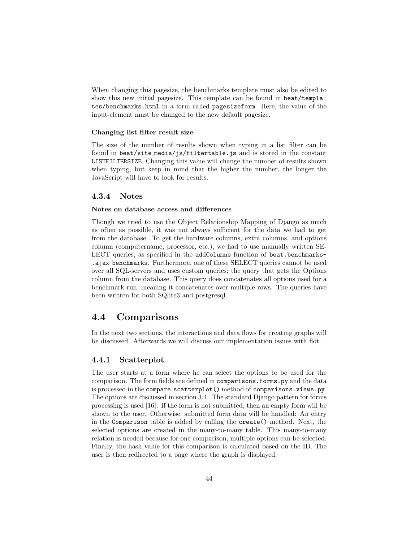When changing this pagesize, the benchmarks template must also be edited to show this new initial pagesize. This template can be found in beat/templates/benchmarks.html in a form called pagesizeform. Here, the value of the input-element must be changed to the new default pagesize.

#### Changing list filter result size

The size of the number of results shown when typing in a list filter can be found in beat/site media/js/filtertable.js and is stored in the constant LISTFILTERSIZE. Changing this value will change the number of results shown when typing, but keep in mind that the higher the number, the longer the JavaScript will have to look for results.

#### 4.3.4 Notes

#### Notes on database access and differences

Though we tried to use the Object Relationship Mapping of Django as much as often as possible, it was not always sufficient for the data we had to get from the database. To get the hardware columns, extra columns, and options column (computername, processor, etc.), we had to use manually written SE-LECT queries, as specified in the addColumns function of beat.benchmarks-.ajax benchmarks. Furthermore, one of these SELECT queries cannot be used over all SQL-servers and uses custom queries; the query that gets the Options column from the database. This query does concatenates all options used for a benchmark run, meaning it concatenates over multiple rows. The queries have been written for both SQlite3 and postgresql.

### 4.4 Comparisons

In the next two sections, the interactions and data flows for creating graphs will be discussed. Afterwards we will discuss our implementation issues with flot.

#### 4.4.1 Scatterplot

The user starts at a form where he can select the options to be used for the comparison. The form fields are defined in comparisons.forms.py and the data is processed in the compare scatterplot() method of comparisons.views.py. The options are discussed in section 3.4. The standard Django pattern for forms processing is used [16]. If the form is not submitted, then an empty form will be shown to the user. Otherwise, submitted form data will be handled: An entry in the Comparison table is added by calling the create() method. Next, the selected options are created in the many-to-many table. This many-to-many relation is needed because for one comparison, multiple options can be selected. Finally, the hash value for this comparison is calculated based on the ID. The user is then redirected to a page where the graph is displayed.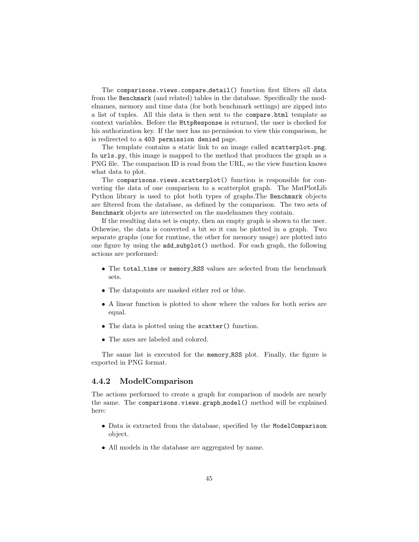The comparisons.views.compare detail() function first filters all data from the Benchmark (and related) tables in the database. Specifically the modelnames, memory and time data (for both benchmark settings) are zipped into a list of tuples. All this data is then sent to the compare.html template as context variables. Before the HttpResponse is returned, the user is checked for his authorization key. If the user has no permission to view this comparison, he is redirected to a 403 permission denied page.

The template contains a static link to an image called scatterplot.png. In urls.py, this image is mapped to the method that produces the graph as a PNG file. The comparison ID is read from the URL, so the view function knows what data to plot.

The comparisons.views.scatterplot() function is responsible for converting the data of one comparison to a scatterplot graph. The MatPlotLib Python library is used to plot both types of graphs.The Benchmark objects are filtered from the database, as defined by the comparison. The two sets of Benchmark objects are intersected on the modelnames they contain.

If the resulting data set is empty, then an empty graph is shown to the user. Othewise, the data is converted a bit so it can be plotted in a graph. Two separate graphs (one for runtime, the other for memory usage) are plotted into one figure by using the add subplot() method. For each graph, the following actions are performed:

- The total time or memory RSS values are selected from the benchmark sets.
- The datapoints are masked either red or blue.
- A linear function is plotted to show where the values for both series are equal.
- The data is plotted using the scatter() function.
- The axes are labeled and colored.

The same list is executed for the memory RSS plot. Finally, the figure is exported in PNG format.

#### 4.4.2 ModelComparison

The actions performed to create a graph for comparison of models are nearly the same. The comparisons.views.graph model() method will be explained here:

- Data is extracted from the database, specified by the ModelComparison object.
- All models in the database are aggregated by name.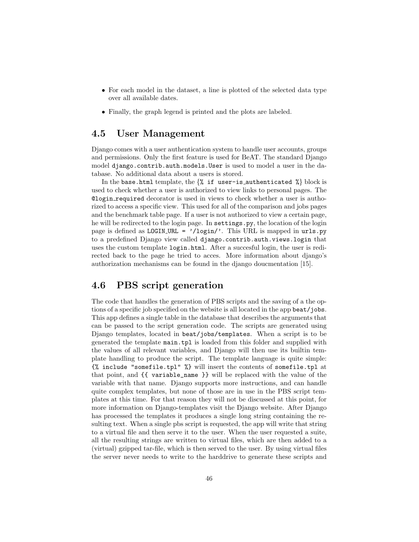- For each model in the dataset, a line is plotted of the selected data type over all available dates.
- Finally, the graph legend is printed and the plots are labeled.

### 4.5 User Management

Django comes with a user authentication system to handle user accounts, groups and permissions. Only the first feature is used for BeAT. The standard Django model django.contrib.auth.models.User is used to model a user in the database. No additional data about a users is stored.

In the base.html template, the  $\frac{1}{6}$  if user-is authenticated  $\frac{1}{6}$  block is used to check whether a user is authorized to view links to personal pages. The @login required decorator is used in views to check whether a user is authorized to access a specific view. This used for all of the comparison and jobs pages and the benchmark table page. If a user is not authorized to view a certain page, he will be redirected to the login page. In settings.py, the location of the login page is defined as LOGIN URL = '/login/'. This URL is mapped in urls.py to a predefined Django view called django.contrib.auth.views.login that uses the custom template  $\log$ in.html. After a succesful login, the user is redirected back to the page he tried to acces. More information about django's authorization mechanisms can be found in the django doucmentation [15].

### 4.6 PBS script generation

The code that handles the generation of PBS scripts and the saving of a the options of a specific job specified on the website is all located in the app beat/jobs. This app defines a single table in the database that describes the arguments that can be passed to the script generation code. The scripts are generated using Django templates, located in beat/jobs/templates. When a script is to be generated the template main.tpl is loaded from this folder and supplied with the values of all relevant variables, and Django will then use its builtin template handling to produce the script. The template language is quite simple: {% include "somefile.tpl" %} will insert the contents of somefile.tpl at that point, and {{ variable\_name }} will be replaced with the value of the variable with that name. Django supports more instructions, and can handle quite complex templates, but none of those are in use in the PBS script templates at this time. For that reason they will not be discussed at this point, for more information on Django-templates visit the Django website. After Django has processed the templates it produces a single long string containing the resulting text. When a single pbs script is requested, the app will write that string to a virtual file and then serve it to the user. When the user requested a suite, all the resulting strings are written to virtual files, which are then added to a (virtual) gzipped tar-file, which is then served to the user. By using virtual files the server never needs to write to the harddrive to generate these scripts and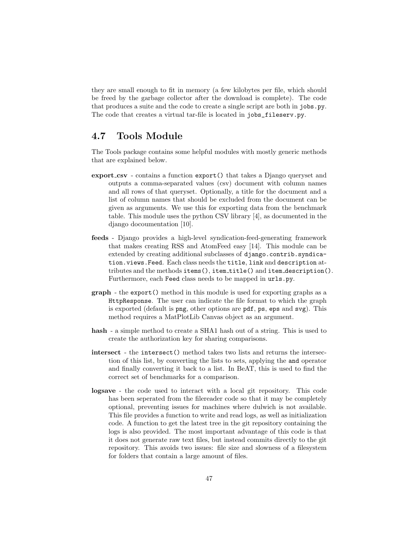they are small enough to fit in memory (a few kilobytes per file, which should be freed by the garbage collector after the download is complete). The code that produces a suite and the code to create a single script are both in jobs.py. The code that creates a virtual tar-file is located in jobs\_fileserv.py.

## 4.7 Tools Module

The Tools package contains some helpful modules with mostly generic methods that are explained below.

- export\_csv contains a function export() that takes a Django queryset and outputs a comma-separated values (csv) document with column names and all rows of that queryset. Optionally, a title for the document and a list of column names that should be excluded from the document can be given as arguments. We use this for exporting data from the benchmark table. This module uses the python CSV library [4], as documented in the django docoumentation [10].
- feeds Django provides a high-level syndication-feed-generating framework that makes creating RSS and AtomFeed easy [14]. This module can be extended by creating additional subclasses of django.contrib.syndication.views.Feed. Each class needs the title, link and description attributes and the methods items(), item title() and item description(). Furthermore, each Feed class needs to be mapped in urls.py.
- graph the export() method in this module is used for exporting graphs as a HttpResponse. The user can indicate the file format to which the graph is exported (default is png, other options are pdf, ps, eps and svg). This method requires a MatPlotLib Canvas object as an argument.
- hash a simple method to create a SHA1 hash out of a string. This is used to create the authorization key for sharing comparisons.
- intersect the intersect() method takes two lists and returns the intersection of this list, by converting the lists to sets, applying the and operator and finally converting it back to a list. In BeAT, this is used to find the correct set of benchmarks for a comparison.
- logsave the code used to interact with a local git repository. This code has been seperated from the filereader code so that it may be completely optional, preventing issues for machines where dulwich is not available. This file provides a function to write and read logs, as well as initialization code. A function to get the latest tree in the git repository containing the logs is also provided. The most important advantage of this code is that it does not generate raw text files, but instead commits directly to the git repository. This avoids two issues: file size and slowness of a filesystem for folders that contain a large amount of files.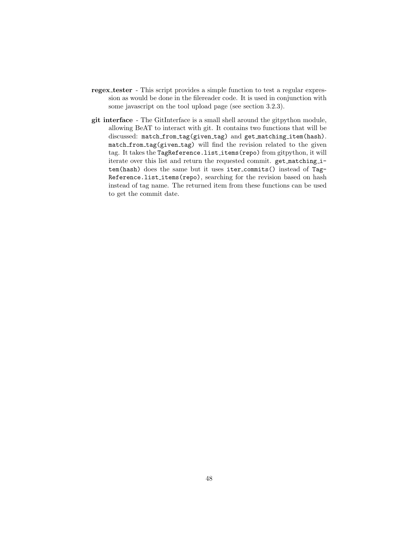- regex tester This script provides a simple function to test a regular expression as would be done in the filereader code. It is used in conjunction with some javascript on the tool upload page (see section 3.2.3).
- git interface The GitInterface is a small shell around the gitpython module, allowing BeAT to interact with git. It contains two functions that will be discussed: match from tag(given tag) and get matching item(hash). match from tag(given tag) will find the revision related to the given tag. It takes the TagReference.list\_items(repo) from gitpython, it will iterate over this list and return the requested commit. get matching item(hash) does the same but it uses iter commits() instead of Tag-Reference.list\_items(repo), searching for the revision based on hash instead of tag name. The returned item from these functions can be used to get the commit date.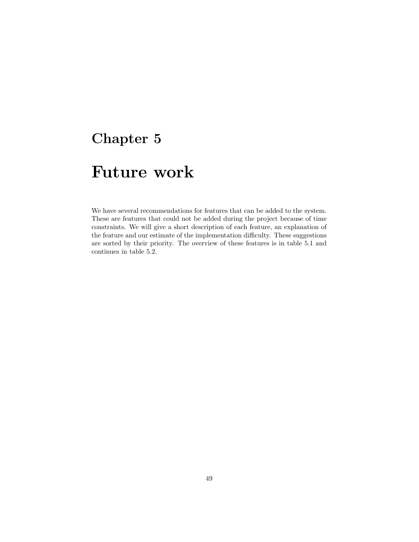# Future work

We have several recommendations for features that can be added to the system. These are features that could not be added during the project because of time constraints. We will give a short description of each feature, an explanation of the feature and our estimate of the implementation difficulty. These suggestions are sorted by their priority. The overview of these features is in table 5.1 and continues in table 5.2.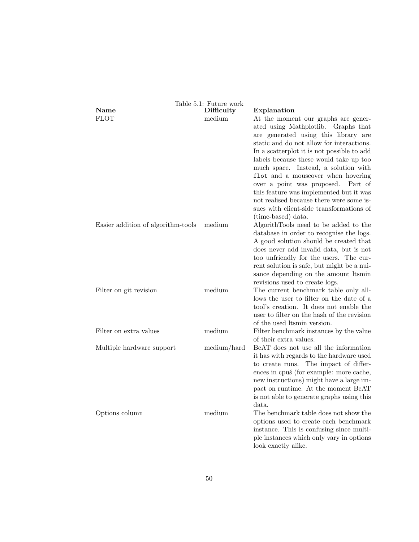|                                    | Table 5.1: Future work |                                                                                                                                                                                                                                                                                                                                                                                                                                                                                                                                                        |
|------------------------------------|------------------------|--------------------------------------------------------------------------------------------------------------------------------------------------------------------------------------------------------------------------------------------------------------------------------------------------------------------------------------------------------------------------------------------------------------------------------------------------------------------------------------------------------------------------------------------------------|
| Name<br><b>FLOT</b>                | Difficulty<br>medium   | Explanation<br>At the moment our graphs are gener-<br>ated using Mathplotlib. Graphs that<br>are generated using this library are<br>static and do not allow for interactions.<br>In a scatterplot it is not possible to add<br>labels because these would take up too<br>much space. Instead, a solution with<br>flot and a mouseover when hovering<br>over a point was proposed.<br>Part of<br>this feature was implemented but it was<br>not realised because there were some is-<br>sues with client-side transformations of<br>(time-based) data. |
| Easier addition of algorithm-tools | medium                 | AlgorithTools need to be added to the<br>database in order to recognise the logs.<br>A good solution should be created that<br>does never add invalid data, but is not<br>too unfriendly for the users. The cur-<br>rent solution is safe, but might be a nui-<br>sance depending on the amount Itsmin<br>revisions used to create logs.                                                                                                                                                                                                               |
| Filter on git revision             | medium                 | The current benchmark table only all-<br>lows the user to filter on the date of a<br>tool's creation. It does not enable the<br>user to filter on the hash of the revision<br>of the used ltsmin version.                                                                                                                                                                                                                                                                                                                                              |
| Filter on extra values             | medium                 | Filter benchmark instances by the value<br>of their extra values.                                                                                                                                                                                                                                                                                                                                                                                                                                                                                      |
| Multiple hardware support          | medium/hard            | BeAT does not use all the information<br>it has with regards to the hardware used<br>The impact of differ-<br>to create runs.<br>ences in cpus (for example: more cache,<br>new instructions) might have a large im-<br>pact on runtime. At the moment BeAT<br>is not able to generate graphs using this<br>data.                                                                                                                                                                                                                                      |
| Options column                     | medium                 | The benchmark table does not show the<br>options used to create each benchmark<br>instance. This is confusing since multi-<br>ple instances which only vary in options<br>look exactly alike.                                                                                                                                                                                                                                                                                                                                                          |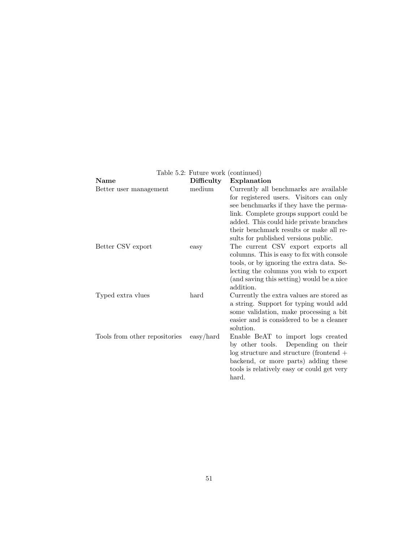|                               | Table 5.2: Future work (continued) |                                                                          |
|-------------------------------|------------------------------------|--------------------------------------------------------------------------|
| <b>Name</b>                   | Difficulty                         | Explanation                                                              |
| Better user management        | medium                             | Currently all benchmarks are available                                   |
|                               |                                    | for registered users. Visitors can only                                  |
|                               |                                    | see benchmarks if they have the perma-                                   |
|                               |                                    | link. Complete groups support could be                                   |
|                               |                                    | added. This could hide private branches                                  |
|                               |                                    | their benchmark results or make all re-                                  |
|                               |                                    | sults for published versions public.                                     |
| Better CSV export             | easy                               | The current CSV export exports all                                       |
|                               |                                    | columns. This is easy to fix with console                                |
|                               |                                    | tools, or by ignoring the extra data. Se-                                |
|                               |                                    | lecting the columns you wish to export                                   |
|                               |                                    | (and saving this setting) would be a nice                                |
|                               |                                    | addition.                                                                |
| Typed extra vlues             | hard                               | Currently the extra values are stored as                                 |
|                               |                                    | a string. Support for typing would add                                   |
|                               |                                    | some validation, make processing a bit                                   |
|                               |                                    | easier and is considered to be a cleaner                                 |
|                               |                                    | solution.                                                                |
| Tools from other repositories | $\exp/\text{hard}$                 | Enable BeAT to import logs created<br>by other tools. Depending on their |
|                               |                                    | $log$ structure and structure (frontend $+$                              |
|                               |                                    | backend, or more parts) adding these                                     |
|                               |                                    | tools is relatively easy or could get very                               |
|                               |                                    | hard.                                                                    |
|                               |                                    |                                                                          |
|                               |                                    |                                                                          |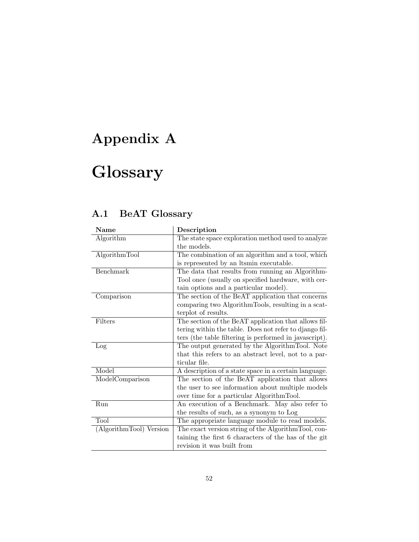# Appendix A

# **Glossary**

## A.1 BeAT Glossary

| <b>Name</b>             | Description                                            |
|-------------------------|--------------------------------------------------------|
| Algorithm               | The state space exploration method used to analyze     |
|                         | the models.                                            |
| AlgorithmTool           | The combination of an algorithm and a tool, which      |
|                         | is represented by an Itsmin executable.                |
| Benchmark               | The data that results from running an Algorithm-       |
|                         | Tool once (usually on specified hardware, with cer-    |
|                         | tain options and a particular model).                  |
| Comparison              | The section of the BeAT application that concerns      |
|                         | comparing two AlgorithmTools, resulting in a scat-     |
|                         | terplot of results.                                    |
| Filters                 | The section of the BeAT application that allows fil-   |
|                         | tering within the table. Does not refer to django fil- |
|                         | ters (the table filtering is performed in javascript). |
| Log                     | The output generated by the AlgorithmTool. Note        |
|                         | that this refers to an abstract level, not to a par-   |
|                         | ticular file.                                          |
| Model                   | A description of a state space in a certain language.  |
| ModelComparison         | The section of the BeAT application that allows        |
|                         | the user to see information about multiple models      |
|                         | over time for a particular AlgorithmTool.              |
| Run                     | An execution of a Benchmark. May also refer to         |
|                         | the results of such, as a synonym to Log               |
| Tool                    | The appropriate language module to read models.        |
| (AlgorithmTool) Version | The exact version string of the Algorithm Tool, con-   |
|                         | taining the first 6 characters of the has of the git   |
|                         | revision it was built from                             |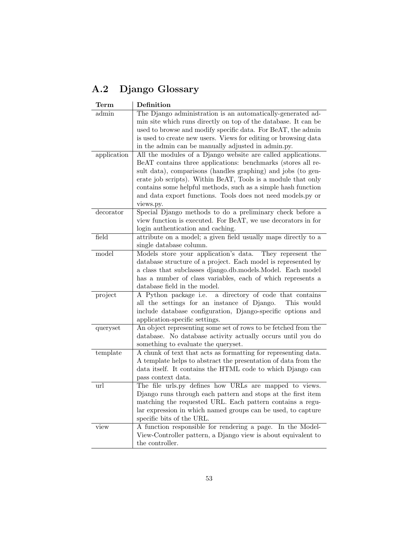## A.2 Django Glossary

| <b>Term</b> | Definition                                                                                                                                                                                                                                                                                                                                                                                                |
|-------------|-----------------------------------------------------------------------------------------------------------------------------------------------------------------------------------------------------------------------------------------------------------------------------------------------------------------------------------------------------------------------------------------------------------|
| admin       | The Django administration is an automatically-generated ad-                                                                                                                                                                                                                                                                                                                                               |
|             | min site which runs directly on top of the database. It can be                                                                                                                                                                                                                                                                                                                                            |
|             | used to browse and modify specific data. For BeAT, the admin                                                                                                                                                                                                                                                                                                                                              |
|             | is used to create new users. Views for editing or browsing data                                                                                                                                                                                                                                                                                                                                           |
|             | in the admin can be manually adjusted in admin.py.                                                                                                                                                                                                                                                                                                                                                        |
| application | All the modules of a Django website are called applications.<br>BeAT contains three applications: benchmarks (stores all re-<br>sult data), comparisons (handles graphing) and jobs (to gen-<br>erate job scripts). Within BeAT, Tools is a module that only<br>contains some helpful methods, such as a simple hash function<br>and data export functions. Tools does not need models.py or<br>views.py. |
| decorator   | Special Django methods to do a preliminary check before a<br>view function is executed. For BeAT, we use decorators in for<br>login authentication and caching.                                                                                                                                                                                                                                           |
| field       | attribute on a model; a given field usually maps directly to a                                                                                                                                                                                                                                                                                                                                            |
|             | single database column.                                                                                                                                                                                                                                                                                                                                                                                   |
| model       | Models store your application's data. They represent the<br>database structure of a project. Each model is represented by<br>a class that subclasses django.db.models.Model. Each model<br>has a number of class variables, each of which represents a<br>database field in the model.                                                                                                                    |
| project     | a directory of code that contains<br>A Python package i.e.<br>all the settings for an instance of Django.<br>This would<br>include database configuration, Django-specific options and<br>application-specific settings.                                                                                                                                                                                  |
| queryset    | An object representing some set of rows to be fetched from the<br>database. No database activity actually occurs until you do<br>something to evaluate the queryset.                                                                                                                                                                                                                                      |
| template    | A chunk of text that acts as formatting for representing data.<br>A template helps to abstract the presentation of data from the<br>data itself. It contains the HTML code to which Django can<br>pass context data.                                                                                                                                                                                      |
| url         | The file urls.py defines how URLs are mapped to views.<br>Django runs through each pattern and stops at the first item<br>matching the requested URL. Each pattern contains a regu-<br>lar expression in which named groups can be used, to capture<br>specific bits of the URL.                                                                                                                          |
| view        | A function responsible for rendering a page. In the Model-<br>View-Controller pattern, a Django view is about equivalent to<br>the controller.                                                                                                                                                                                                                                                            |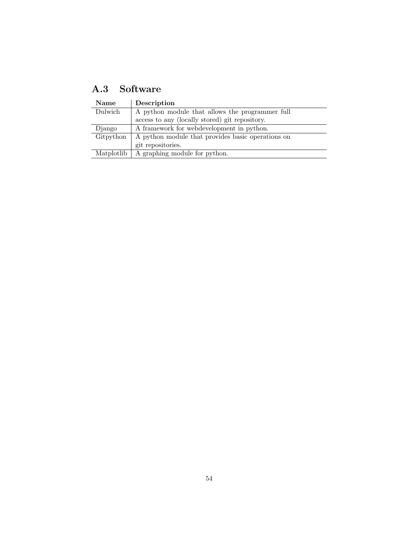| $\rm A.3$ | Software |
|-----------|----------|
|           |          |

| <b>Name</b> | Description                                       |
|-------------|---------------------------------------------------|
| Dulwich     | A python module that allows the programmer full   |
|             | access to any (locally stored) git repository.    |
| Django      | A framework for webdevelopment in python.         |
| Gitpython   | A python module that provides basic operations on |
|             | git repositories.                                 |
| Matplotlib  | A graphing module for python.                     |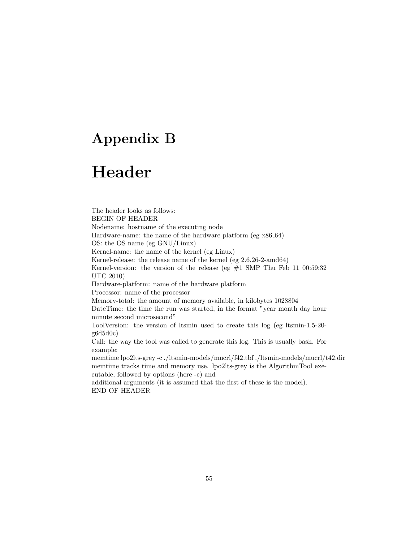# Appendix B

# Header

The header looks as follows: BEGIN OF HEADER Nodename: hostname of the executing node Hardware-name: the name of the hardware platform (eg x86 64) OS: the OS name (eg GNU/Linux) Kernel-name: the name of the kernel (eg Linux) Kernel-release: the release name of the kernel (eg 2.6.26-2-amd64) Kernel-version: the version of the release (eg  $#1$  SMP Thu Feb 11 00:59:32 UTC 2010) Hardware-platform: name of the hardware platform Processor: name of the processor Memory-total: the amount of memory available, in kilobytes 1028804 DateTime: the time the run was started, in the format "year month day hour minute second microsecond" ToolVersion: the version of ltsmin used to create this log (eg ltsmin-1.5-20 g6d5d0c) Call: the way the tool was called to generate this log. This is usually bash. For example: memtime lpo2lts-grey -c ./ltsmin-models/mucrl/f42.tbf ./ltsmin-models/mucrl/t42.dir memtime tracks time and memory use. lpo2lts-grey is the AlgorithmTool executable, followed by options (here -c) and additional arguments (it is assumed that the first of these is the model). END OF HEADER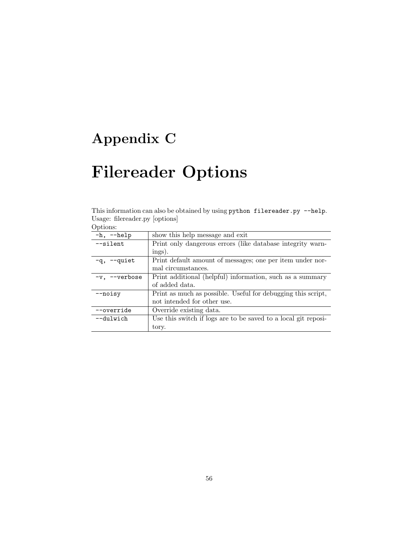# Appendix C

# Filereader Options

This information can also be obtained by using python filereader.py --help. Usage: filereader.py [options]

| Options: |  |
|----------|--|
|          |  |

| O DULOID.          |                                                                |
|--------------------|----------------------------------------------------------------|
| $-h, -h$ elp       | show this help message and exit                                |
| $-$ silent         | Print only dangerous errors (like database integrity warn-     |
|                    | ings).                                                         |
| -q, --quiet        | Print default amount of messages; one per item under nor-      |
|                    | mal circumstances.                                             |
| $-v$ , $-v$ erbose | Print additional (helpful) information, such as a summary      |
|                    | of added data.                                                 |
| $-$ noisy          | Print as much as possible. Useful for debugging this script,   |
|                    | not intended for other use.                                    |
| --override         | Override existing data.                                        |
| --dulwich          | Use this switch if logs are to be saved to a local git reposi- |
|                    | tory.                                                          |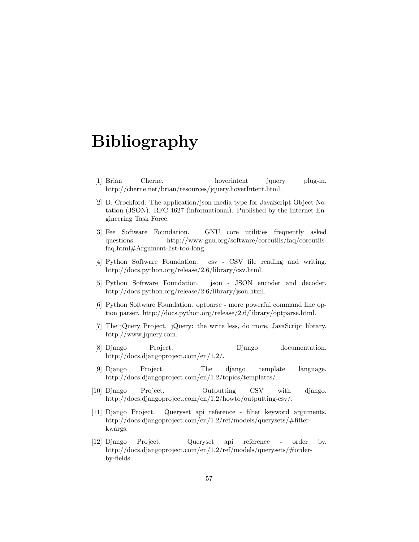# Bibliography

- [1] Brian Cherne. hoverintent jquery plug-in. http://cherne.net/brian/resources/jquery.hoverIntent.html.
- [2] D. Crockford. The application/json media type for JavaScript Object Notation (JSON). RFC 4627 (informational). Published by the Internet Engineering Task Force.
- [3] Fee Software Foundation. GNU core utilities frequently asked questions. http://www.gnu.org/software/coreutils/faq/coreutilsfaq.html#Argument-list-too-long.
- [4] Python Software Foundation. csv CSV file reading and writing. http://docs.python.org/release/2.6/library/csv.html.
- [5] Python Software Foundation. json JSON encoder and decoder. http://docs.python.org/release/2.6/library/json.html.
- [6] Python Software Foundation. optparse more powerful command line option parser. http://docs.python.org/release/2.6/library/optparse.html.
- [7] The jQuery Project. jQuery: the write less, do more, JavaScript library. http://www.jquery.com.
- [8] Django Project. Django documentation. http://docs.djangoproject.com/en/1.2/.
- [9] Django Project. The django template language. http://docs.djangoproject.com/en/1.2/topics/templates/.
- [10] Django Project. Outputting CSV with django. http://docs.djangoproject.com/en/1.2/howto/outputting-csv/.
- [11] Django Project. Queryset api reference filter keyword arguments. http://docs.djangoproject.com/en/1.2/ref/models/querysets/#filterkwargs.
- [12] Django Project. Queryset api reference order by. http://docs.djangoproject.com/en/1.2/ref/models/querysets/#orderby-fields.